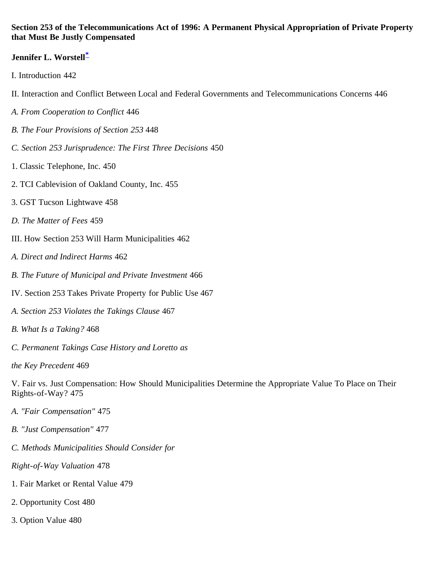#### <span id="page-0-0"></span>**Section 253 of the Telecommunications Act of 1996: A Permanent Physical Appropriation of Private Property that Must Be Justly Compensated**

### **Jennifer L. Worstell[\\*](#page-19-0)**

- I. Introduction 442
- II. Interaction and Conflict Between Local and Federal Governments and Telecommunications Concerns 446
- *A. From Cooperation to Conflict* 446
- *B. The Four Provisions of Section 253* 448
- *C. Section 253 Jurisprudence: The First Three Decisions* 450
- 1. Classic Telephone, Inc. 450
- 2. TCI Cablevision of Oakland County, Inc. 455
- 3. GST Tucson Lightwave 458
- *D. The Matter of Fees* 459
- III. How Section 253 Will Harm Municipalities 462
- *A. Direct and Indirect Harms* 462
- *B. The Future of Municipal and Private Investment* 466
- IV. Section 253 Takes Private Property for Public Use 467
- *A. Section 253 Violates the Takings Clause* 467
- *B. What Is a Taking?* 468
- *C. Permanent Takings Case History and Loretto as*
- *the Key Precedent* 469

V. Fair vs. Just Compensation: How Should Municipalities Determine the Appropriate Value To Place on Their Rights-of-Way? 475

- *A. "Fair Compensation"* 475
- *B. "Just Compensation"* 477
- *C. Methods Municipalities Should Consider for*
- *Right-of-Way Valuation* 478
- 1. Fair Market or Rental Value 479
- 2. Opportunity Cost 480
- 3. Option Value 480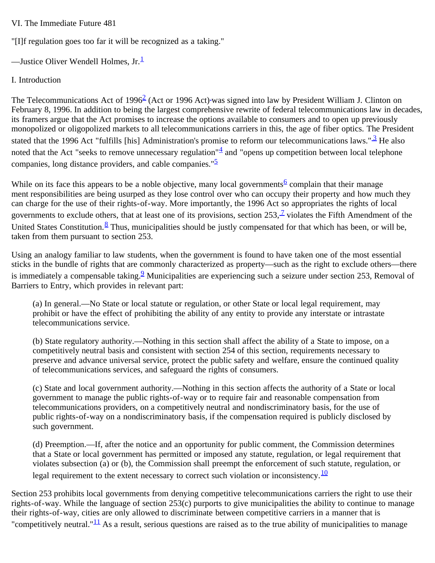#### VI. The Immediate Future 481

"[I]f regulation goes too far it will be recognized as a taking."

—Justice Oliver Wendell Holmes, Jr. $\frac{1}{1}$  $\frac{1}{1}$  $\frac{1}{1}$ 

### I. Introduction

The Telecommunications Act of  $1996<sup>2</sup>$  (Act or 1996 Act) was signed into law by President William J. Clinton on February 8, 1996. In addition to being the largest comprehensive rewrite of federal telecommunications law in decades, its framers argue that the Act promises to increase the options available to consumers and to open up previously monopolized or oligopolized markets to all telecommunications carriers in this, the age of fiber optics. The President stated that the 1996 Act "fulfills [his] Administration's promise to reform our telecommunications laws." $\frac{3}{2}$  He also noted that the Act "seeks to remove unnecessary regulation" $\frac{4}{3}$  and "opens up competition between local telephone companies, long distance providers, and cable companies." $\frac{5}{2}$  $\frac{5}{2}$  $\frac{5}{2}$ 

While on its face this appears to be a noble objective, many local governments  $\frac{6}{5}$  $\frac{6}{5}$  $\frac{6}{5}$  complain that their manage ment responsibilities are being usurped as they lose control over who can occupy their property and how much they can charge for the use of their rights-of-way. More importantly, the 1996 Act so appropriates the rights of local governments to exclude others, that at least one of its provisions, section  $253$ ,  $\frac{1}{2}$  violates the Fifth Amendment of the United States Constitution. $8$  Thus, municipalities should be justly compensated for that which has been, or will be, taken from them pursuant to section 253.

Using an analogy familiar to law students, when the government is found to have taken one of the most essential sticks in the bundle of rights that are commonly characterized as property—such as the right to exclude others—there is immediately a compensable taking.<sup>[9](#page-19-7)</sup> Municipalities are experiencing such a seizure under section 253, Removal of Barriers to Entry, which provides in relevant part:

(a) In general.—No State or local statute or regulation, or other State or local legal requirement, may prohibit or have the effect of prohibiting the ability of any entity to provide any interstate or intrastate telecommunications service.

(b) State regulatory authority.—Nothing in this section shall affect the ability of a State to impose, on a competitively neutral basis and consistent with section 254 of this section, requirements necessary to preserve and advance universal service, protect the public safety and welfare, ensure the continued quality of telecommunications services, and safeguard the rights of consumers.

(c) State and local government authority.—Nothing in this section affects the authority of a State or local government to manage the public rights-of-way or to require fair and reasonable compensation from telecommunications providers, on a competitively neutral and nondiscriminatory basis, for the use of public rights-of-way on a nondiscriminatory basis, if the compensation required is publicly disclosed by such government.

(d) Preemption.—If, after the notice and an opportunity for public comment, the Commission determines that a State or local government has permitted or imposed any statute, regulation, or legal requirement that violates subsection (a) or (b), the Commission shall preempt the enforcement of such statute, regulation, or legal requirement to the extent necessary to correct such violation or inconsistency.  $\frac{10}{10}$  $\frac{10}{10}$  $\frac{10}{10}$ 

Section 253 prohibits local governments from denying competitive telecommunications carriers the right to use their rights-of-way. While the language of section 253(c) purports to give municipalities the ability to continue to manage their rights-of-way, cities are only allowed to discriminate between competitive carriers in a manner that is "competitively neutral."<sup>11</sup> As a result, serious questions are raised as to the true ability of municipalities to manage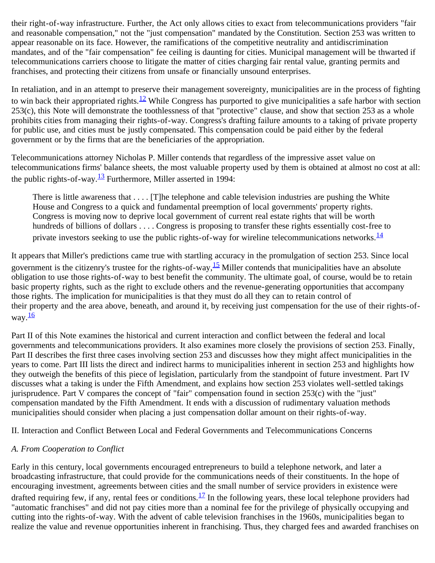their right-of-way infrastructure. Further, the Act only allows cities to exact from telecommunications providers "fair and reasonable compensation," not the "just compensation" mandated by the Constitution. Section 253 was written to appear reasonable on its face. However, the ramifications of the competitive neutrality and antidiscrimination mandates, and of the "fair compensation" fee ceiling is daunting for cities. Municipal management will be thwarted if telecommunications carriers choose to litigate the matter of cities charging fair rental value, granting permits and franchises, and protecting their citizens from unsafe or financially unsound enterprises.

In retaliation, and in an attempt to preserve their management sovereignty, municipalities are in the process of fighting to win back their appropriated rights.<sup>12</sup> While Congress has purported to give municipalities a safe harbor with section  $253(c)$ , this Note will demonstrate the toothlessness of that "protective" clause, and show that section 253 as a whole prohibits cities from managing their rights-of-way. Congress's drafting failure amounts to a taking of private property for public use, and cities must be justly compensated. This compensation could be paid either by the federal government or by the firms that are the beneficiaries of the appropriation.

Telecommunications attorney Nicholas P. Miller contends that regardless of the impressive asset value on telecommunications firms' balance sheets, the most valuable property used by them is obtained at almost no cost at all: the public rights-of-way. $\frac{13}{2}$  Furthermore, Miller asserted in 1994:

There is little awareness that . . . . [T]he telephone and cable television industries are pushing the White House and Congress to a quick and fundamental preemption of local governments' property rights. Congress is moving now to deprive local government of current real estate rights that will be worth hundreds of billions of dollars . . . . Congress is proposing to transfer these rights essentially cost-free to private investors seeking to use the public rights-of-way for wireline telecommunications networks. $\frac{14}{1}$  $\frac{14}{1}$  $\frac{14}{1}$ 

It appears that Miller's predictions came true with startling accuracy in the promulgation of section 253. Since local government is the citizenry's trustee for the rights-of-way,  $\frac{15}{2}$  Miller contends that municipalities have an absolute obligation to use those rights-of-way to best benefit the community. The ultimate goal, of course, would be to retain basic property rights, such as the right to exclude others and the revenue-generating opportunities that accompany those rights. The implication for municipalities is that they must do all they can to retain control of their property and the area above, beneath, and around it, by receiving just compensation for the use of their rights-ofway. $\frac{16}{1}$  $\frac{16}{1}$  $\frac{16}{1}$ 

Part II of this Note examines the historical and current interaction and conflict between the federal and local governments and telecommunications providers. It also examines more closely the provisions of section 253. Finally, Part II describes the first three cases involving section 253 and discusses how they might affect municipalities in the years to come. Part III lists the direct and indirect harms to municipalities inherent in section 253 and highlights how they outweigh the benefits of this piece of legislation, particularly from the standpoint of future investment. Part IV discusses what a taking is under the Fifth Amendment, and explains how section 253 violates well-settled takings jurisprudence. Part V compares the concept of "fair" compensation found in section 253(c) with the "just" compensation mandated by the Fifth Amendment. It ends with a discussion of rudimentary valuation methods municipalities should consider when placing a just compensation dollar amount on their rights-of-way.

II. Interaction and Conflict Between Local and Federal Governments and Telecommunications Concerns

#### *A. From Cooperation to Conflict*

Early in this century, local governments encouraged entrepreneurs to build a telephone network, and later a broadcasting infrastructure, that could provide for the communications needs of their constituents. In the hope of encouraging investment, agreements between cities and the small number of service providers in existence were drafted requiring few, if any, rental fees or conditions.<sup>[17](#page-20-4)</sup> In the following years, these local telephone providers had "automatic franchises" and did not pay cities more than a nominal fee for the privilege of physically occupying and cutting into the rights-of-way. With the advent of cable television franchises in the 1960s, municipalities began to realize the value and revenue opportunities inherent in franchising. Thus, they charged fees and awarded franchises on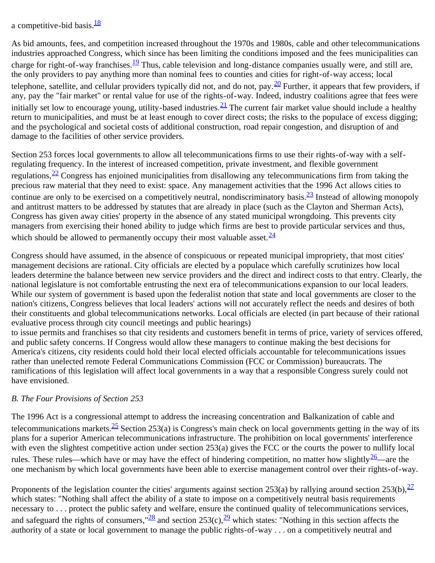a competitive-bid basis. $\frac{18}{3}$  $\frac{18}{3}$  $\frac{18}{3}$ 

As bid amounts, fees, and competition increased throughout the 1970s and 1980s, cable and other telecommunications industries approached Congress, which since has been limiting the conditions imposed and the fees municipalities can charge for right-of-way franchises.<sup>[19](#page-20-6)</sup> Thus, cable television and long-distance companies usually were, and still are, the only providers to pay anything more than nominal fees to counties and cities for right-of-way access; local telephone, satellite, and cellular providers typically did not, and do not, pay.  $\frac{20}{2}$  Further, it appears that few providers, if any, pay the "fair market" or rental value for use of the rights-of-way. Indeed, industry coalitions agree that fees were initially set low to encourage young, utility-based industries.  $\frac{21}{2}$  The current fair market value should include a healthy return to municipalities, and must be at least enough to cover direct costs; the risks to the populace of excess digging; and the psychological and societal costs of additional construction, road repair congestion, and disruption of and damage to the facilities of other service providers.

Section 253 forces local governments to allow all telecommunications firms to use their rights-of-way with a selfregulating frequency. In the interest of increased competition, private investment, and flexible government regulations,  $\frac{22}{2}$  Congress has enjoined municipalities from disallowing any telecommunications firm from taking the precious raw material that they need to exist: space. Any management activities that the 1996 Act allows cities to continue are only to be exercised on a competitively neutral, nondiscriminatory basis. $\frac{23}{12}$  Instead of allowing monopoly and antitrust matters to be addressed by statutes that are already in place (such as the Clayton and Sherman Acts), Congress has given away cities' property in the absence of any stated municipal wrongdoing. This prevents city managers from exercising their honed ability to judge which firms are best to provide particular services and thus, which should be allowed to permanently occupy their most valuable asset. $\frac{24}{3}$  $\frac{24}{3}$  $\frac{24}{3}$ 

Congress should have assumed, in the absence of conspicuous or repeated municipal impropriety, that most cities' management decisions are rational. City officials are elected by a populace which carefully scrutinizes how local leaders determine the balance between new service providers and the direct and indirect costs to that entry. Clearly, the national legislature is not comfortable entrusting the next era of telecommunications expansion to our local leaders. While our system of government is based upon the federalist notion that state and local governments are closer to the nation's citizens, Congress believes that local leaders' actions will not accurately reflect the needs and desires of both their constituents and global telecommunications networks. Local officials are elected (in part because of their rational evaluative process through city council meetings and public hearings)

to issue permits and franchises so that city residents and customers benefit in terms of price, variety of services offered, and public safety concerns. If Congress would allow these managers to continue making the best decisions for America's citizens, city residents could hold their local elected officials accountable for telecommunications issues rather than unelected remote Federal Communications Commission (FCC or Commission) bureaucrats. The ramifications of this legislation will affect local governments in a way that a responsible Congress surely could not have envisioned.

# *B. The Four Provisions of Section 253*

The 1996 Act is a congressional attempt to address the increasing concentration and Balkanization of cable and telecommunications markets.  $\frac{25}{5}$  Section 253(a) is Congress's main check on local governments getting in the way of its plans for a superior American telecommunications infrastructure. The prohibition on local governments' interference with even the slightest competitive action under section 253(a) gives the FCC or the courts the power to nullify local rules. These rules—which have or may have the effect of hindering competition, no matter how slightly  $\frac{26}{2}$ —are the one mechanism by which local governments have been able to exercise management control over their rights-of-way.

Proponents of the legislation counter the cities' arguments against section 253(a) by rallying around section 253(b),  $\frac{27}{2}$  $\frac{27}{2}$  $\frac{27}{2}$ which states: "Nothing shall affect the ability of a state to impose on a competitively neutral basis requirements necessary to . . . protect the public safety and welfare, ensure the continued quality of telecommunications services, and safeguard the rights of consumers,  $\frac{28}{2}$  and section 253(c),  $\frac{29}{2}$  which states: "Nothing in this section affects the authority of a state or local government to manage the public rights-of-way . . . on a competitively neutral and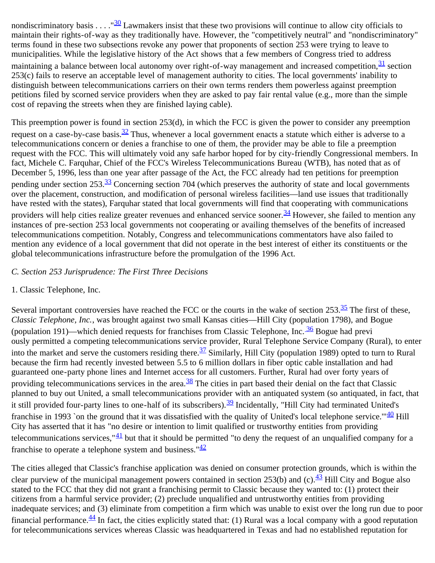nondiscriminatory basis . . . . " $\frac{30}{2}$  Lawmakers insist that these two provisions will continue to allow city officials to maintain their rights-of-way as they traditionally have. However, the "competitively neutral" and "nondiscriminatory" terms found in these two subsections revoke any power that proponents of section 253 were trying to leave to municipalities. While the legislative history of the Act shows that a few members of Congress tried to address maintaining a balance between local autonomy over right-of-way management and increased competition,  $\frac{31}{2}$  section 253(c) fails to reserve an acceptable level of management authority to cities. The local governments' inability to distinguish between telecommunications carriers on their own terms renders them powerless against preemption petitions filed by scorned service providers when they are asked to pay fair rental value (e.g., more than the simple cost of repaving the streets when they are finished laying cable).

This preemption power is found in section 253(d), in which the FCC is given the power to consider any preemption request on a case-by-case basis.<sup>[32](#page-21-8)</sup> Thus, whenever a local government enacts a statute which either is adverse to a telecommunications concern or denies a franchise to one of them, the provider may be able to file a preemption request with the FCC. This will ultimately void any safe harbor hoped for by city-friendly Congressional members. In fact, Michele C. Farquhar, Chief of the FCC's Wireless Telecommunications Bureau (WTB), has noted that as of December 5, 1996, less than one year after passage of the Act, the FCC already had ten petitions for preemption pending under section 253.<sup>[33](#page-21-9)</sup> Concerning section 704 (which preserves the authority of state and local governments over the placement, construction, and modification of personal wireless facilities—land use issues that traditionally have rested with the states), Farquhar stated that local governments will find that cooperating with communications providers will help cities realize greater revenues and enhanced service sooner.  $\frac{34}{3}$  $\frac{34}{3}$  $\frac{34}{3}$  However, she failed to mention any instances of pre-section 253 local governments not cooperating or availing themselves of the benefits of increased telecommunications competition. Notably, Congress and telecommunications commentators have also failed to mention any evidence of a local government that did not operate in the best interest of either its constituents or the global telecommunications infrastructure before the promulgation of the 1996 Act.

### *C. Section 253 Jurisprudence: The First Three Decisions*

#### 1. Classic Telephone, Inc.

Several important controversies have reached the FCC or the courts in the wake of section  $253.\frac{35}{10}$  The first of these, *Classic Telephone, Inc.*, was brought against two small Kansas cities—Hill City (population 1798), and Bogue (population 191)—which denied requests for franchises from Classic Telephone, Inc.  $\frac{36}{10}$  Bogue had previ ously permitted a competing telecommunications service provider, Rural Telephone Service Company (Rural), to enter into the market and serve the customers residing there.<sup>37</sup> Similarly, Hill City (population 1989) opted to turn to Rural because the firm had recently invested between 5.5 to 6 million dollars in fiber optic cable installation and had guaranteed one-party phone lines and Internet access for all customers. Further, Rural had over forty years of providing telecommunications services in the area. $\frac{38}{10}$  The cities in part based their denial on the fact that Classic planned to buy out United, a small telecommunications provider with an antiquated system (so antiquated, in fact, that it still provided four-party lines to one-half of its subscribers).<sup>39</sup> Incidentally, "Hill City had terminated United's franchise in 1993 `on the ground that it was dissatisfied with the quality of United's local telephone service." $40$  Hill City has asserted that it has "no desire or intention to limit qualified or trustworthy entities from providing telecommunications services,  $\frac{41}{1}$  but that it should be permitted "to deny the request of an unqualified company for a franchise to operate a telephone system and business." $\frac{42}{3}$  $\frac{42}{3}$  $\frac{42}{3}$ 

The cities alleged that Classic's franchise application was denied on consumer protection grounds, which is within the clear purview of the municipal management powers contained in section 253(b) and (c).  $\frac{43}{1}$  $\frac{43}{1}$  $\frac{43}{1}$  Hill City and Bogue also stated to the FCC that they did not grant a franchising permit to Classic because they wanted to: (1) protect their citizens from a harmful service provider; (2) preclude unqualified and untrustworthy entities from providing inadequate services; and (3) eliminate from competition a firm which was unable to exist over the long run due to poor financial performance.  $\frac{44}{3}$  In fact, the cities explicitly stated that: (1) Rural was a local company with a good reputation for telecommunications services whereas Classic was headquartered in Texas and had no established reputation for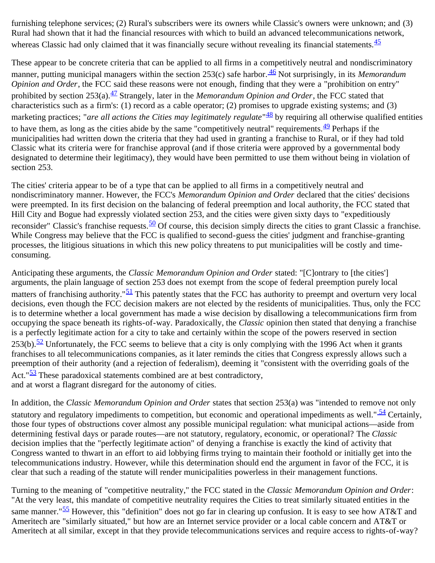furnishing telephone services; (2) Rural's subscribers were its owners while Classic's owners were unknown; and (3) Rural had shown that it had the financial resources with which to build an advanced telecommunications network, whereas Classic had only claimed that it was financially secure without revealing its financial statements.  $\frac{45}{5}$  $\frac{45}{5}$  $\frac{45}{5}$ 

These appear to be concrete criteria that can be applied to all firms in a competitively neutral and nondiscriminatory manner, putting municipal managers within the section 253(c) safe harbor. [46](#page-0-0) Not surprisingly, in its *Memorandum Opinion and Order*, the FCC said these reasons were not enough, finding that they were a "prohibition on entry" prohibited by section 253(a).<sup>47</sup> Strangely, later in the *Memorandum Opinion and Order*, the FCC stated that characteristics such as a firm's: (1) record as a cable operator; (2) promises to upgrade existing systems; and (3) marketing practices; "*are all actions the Cities may legitimately regulate*"<sup>48</sup> by requiring all otherwise qualified entities to have them, as long as the cities abide by the same "competitively neutral" requirements.  $\frac{49}{12}$  Perhaps if the municipalities had written down the criteria that they had used in granting a franchise to Rural, or if they had told Classic what its criteria were for franchise approval (and if those criteria were approved by a governmental body designated to determine their legitimacy), they would have been permitted to use them without being in violation of section 253.

The cities' criteria appear to be of a type that can be applied to all firms in a competitively neutral and nondiscriminatory manner. However, the FCC's *Memorandum Opinion and Order* declared that the cities' decisions were preempted. In its first decision on the balancing of federal preemption and local authority, the FCC stated that Hill City and Bogue had expressly violated section 253, and the cities were given sixty days to "expeditiously reconsider" Classic's franchise requests.  $\frac{50}{2}$  Of course, this decision simply directs the cities to grant Classic a franchise. While Congress may believe that the FCC is qualified to second-guess the cities' judgment and franchise-granting processes, the litigious situations in which this new policy threatens to put municipalities will be costly and timeconsuming.

Anticipating these arguments, the *Classic Memorandum Opinion and Order* stated: "[C]ontrary to [the cities'] arguments, the plain language of section 253 does not exempt from the scope of federal preemption purely local matters of franchising authority." $51$  This patently states that the FCC has authority to preempt and overturn very local decisions, even though the FCC decision makers are not elected by the residents of municipalities. Thus, only the FCC is to determine whether a local government has made a wise decision by disallowing a telecommunications firm from occupying the space beneath its rights-of-way. Paradoxically, the *Classic* opinion then stated that denying a franchise is a perfectly legitimate action for a city to take and certainly within the scope of the powers reserved in section 253(b).<sup>[52](#page-22-9)</sup> Unfortunately, the FCC seems to believe that a city is only complying with the 1996 Act when it grants franchises to all telecommunications companies, as it later reminds the cities that Congress expressly allows such a preemption of their authority (and a rejection of federalism), deeming it "consistent with the overriding goals of the Act." $\frac{53}{2}$  These paradoxical statements combined are at best contradictory, and at worst a flagrant disregard for the autonomy of cities.

In addition, the *Classic Memorandum Opinion and Order* states that section 253(a) was "intended to remove not only statutory and regulatory impediments to competition, but economic and operational impediments as well." $\frac{54}{12}$  Certainly, those four types of obstructions cover almost any possible municipal regulation: what municipal actions—aside from determining festival days or parade routes—are not statutory, regulatory, economic, or operational? The *Classic* decision implies that the "perfectly legitimate action" of denying a franchise is exactly the kind of activity that Congress wanted to thwart in an effort to aid lobbying firms trying to maintain their foothold or initially get into the telecommunications industry. However, while this determination should end the argument in favor of the FCC, it is clear that such a reading of the statute will render municipalities powerless in their management functions.

Turning to the meaning of "competitive neutrality," the FCC stated in the *Classic Memorandum Opinion and Order*: "At the very least, this mandate of competitive neutrality requires the Cities to treat similarly situated entities in the same manner."<sup>55</sup> However, this "definition" does not go far in clearing up confusion. It is easy to see how AT&T and Ameritech are "similarly situated," but how are an Internet service provider or a local cable concern and AT&T or Ameritech at all similar, except in that they provide telecommunications services and require access to rights-of-way?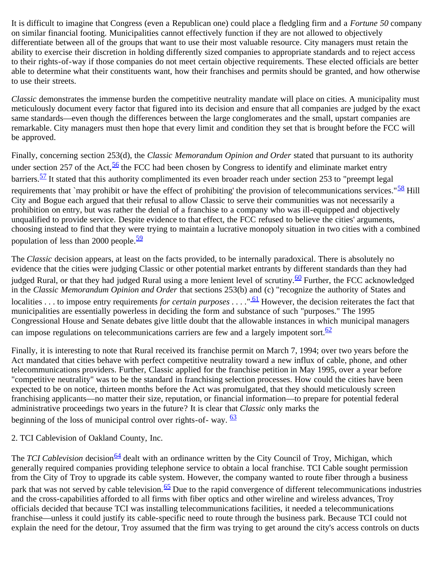It is difficult to imagine that Congress (even a Republican one) could place a fledgling firm and a *Fortune 50* company on similar financial footing. Municipalities cannot effectively function if they are not allowed to objectively differentiate between all of the groups that want to use their most valuable resource. City managers must retain the ability to exercise their discretion in holding differently sized companies to appropriate standards and to reject access to their rights-of-way if those companies do not meet certain objective requirements. These elected officials are better able to determine what their constituents want, how their franchises and permits should be granted, and how otherwise to use their streets.

*Classic* demonstrates the immense burden the competitive neutrality mandate will place on cities. A municipality must meticulously document every factor that figured into its decision and ensure that all companies are judged by the exact same standards—even though the differences between the large conglomerates and the small, upstart companies are remarkable. City managers must then hope that every limit and condition they set that is brought before the FCC will be approved.

Finally, concerning section 253(d), the *Classic Memorandum Opinion and Order* stated that pursuant to its authority under section 257 of the Act,  $\frac{56}{2}$  the FCC had been chosen by Congress to identify and eliminate market entry barriers.<sup>57</sup> It stated that this authority complimented its even broader reach under section 253 to "preempt legal requirements that `may prohibit or have the effect of prohibiting' the provision of telecommunications services." $\frac{58}{1}$  Hill City and Bogue each argued that their refusal to allow Classic to serve their communities was not necessarily a prohibition on entry, but was rather the denial of a franchise to a company who was ill-equipped and objectively unqualified to provide service. Despite evidence to that effect, the FCC refused to believe the cities' arguments, choosing instead to find that they were trying to maintain a lucrative monopoly situation in two cities with a combined population of less than 2000 people. $\frac{59}{2}$  $\frac{59}{2}$  $\frac{59}{2}$ 

The *Classic* decision appears, at least on the facts provided, to be internally paradoxical. There is absolutely no evidence that the cities were judging Classic or other potential market entrants by different standards than they had judged Rural, or that they had judged Rural using a more lenient level of scrutiny.<sup>60</sup> Further, the FCC acknowledged in the *Classic Memorandum Opinion and Order* that sections 253(b) and (c) "recognize the authority of States and localities . . . to impose entry requirements *for certain purposes* . . . . "<sup>61</sup> However, the decision reiterates the fact that municipalities are essentially powerless in deciding the form and substance of such "purposes." The 1995 Congressional House and Senate debates give little doubt that the allowable instances in which municipal managers can impose regulations on telecommunications carriers are few and a largely impotent sort. $\frac{62}{ }$  $\frac{62}{ }$  $\frac{62}{ }$ 

Finally, it is interesting to note that Rural received its franchise permit on March 7, 1994; over two years before the Act mandated that cities behave with perfect competitive neutrality toward a new influx of cable, phone, and other telecommunications providers. Further, Classic applied for the franchise petition in May 1995, over a year before "competitive neutrality" was to be the standard in franchising selection processes. How could the cities have been expected to be on notice, thirteen months before the Act was promulgated, that they should meticulously screen franchising applicants—no matter their size, reputation, or financial information—to prepare for potential federal administrative proceedings two years in the future? It is clear that *Classic* only marks the beginning of the loss of municipal control over rights-of- way.  $\frac{63}{2}$  $\frac{63}{2}$  $\frac{63}{2}$ 

#### 2. TCI Cablevision of Oakland County, Inc.

The *TCI Cablevision* decision<sup>64</sup> dealt with an ordinance written by the City Council of Troy, Michigan, which generally required companies providing telephone service to obtain a local franchise. TCI Cable sought permission from the City of Troy to upgrade its cable system. However, the company wanted to route fiber through a business park that was not served by cable television.  $65$  Due to the rapid convergence of different telecommunications industries and the cross-capabilities afforded to all firms with fiber optics and other wireline and wireless advances, Troy officials decided that because TCI was installing telecommunications facilities, it needed a telecommunications franchise—unless it could justify its cable-specific need to route through the business park. Because TCI could not explain the need for the detour, Troy assumed that the firm was trying to get around the city's access controls on ducts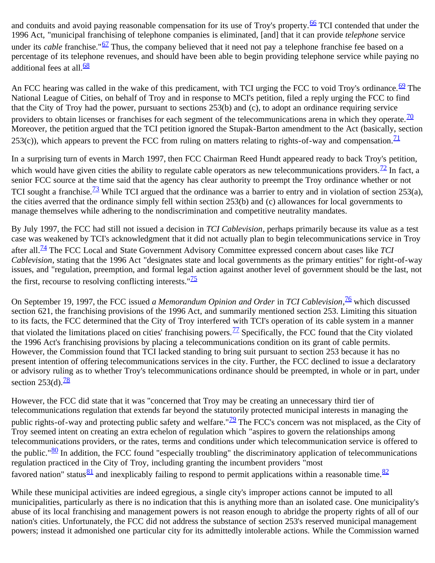and conduits and avoid paying reasonable compensation for its use of Troy's property.<sup>66</sup> TCI contended that under the 1996 Act, "municipal franchising of telephone companies is eliminated, [and] that it can provide *telephone* service under its *cable* franchise."<sup>67</sup> Thus, the company believed that it need not pay a telephone franchise fee based on a percentage of its telephone revenues, and should have been able to begin providing telephone service while paying no additional fees at all  $\frac{68}{2}$  $\frac{68}{2}$  $\frac{68}{2}$ 

An FCC hearing was called in the wake of this predicament, with TCI urging the FCC to void Troy's ordinance.<sup>[69](#page-23-3)</sup> The National League of Cities, on behalf of Troy and in response to MCI's petition, filed a reply urging the FCC to find that the City of Troy had the power, pursuant to sections 253(b) and (c), to adopt an ordinance requiring service providers to obtain licenses or franchises for each segment of the telecommunications arena in which they operate.  $\frac{70}{2}$  $\frac{70}{2}$  $\frac{70}{2}$ Moreover, the petition argued that the TCI petition ignored the Stupak-Barton amendment to the Act (basically, section 253(c)), which appears to prevent the FCC from ruling on matters relating to rights-of-way and compensation.  $\frac{11}{2}$ 

In a surprising turn of events in March 1997, then FCC Chairman Reed Hundt appeared ready to back Troy's petition, which would have given cities the ability to regulate cable operators as new telecommunications providers. $\frac{72}{1}$  In fact, a senior FCC source at the time said that the agency has clear authority to preempt the Troy ordinance whether or not TCI sought a franchise.<sup>73</sup> While TCI argued that the ordinance was a barrier to entry and in violation of section 253(a), the cities averred that the ordinance simply fell within section 253(b) and (c) allowances for local governments to manage themselves while adhering to the nondiscrimination and competitive neutrality mandates.

By July 1997, the FCC had still not issued a decision in *TCI Cablevision*, perhaps primarily because its value as a test case was weakened by TCI's acknowledgment that it did not actually plan to begin telecommunications service in Troy after all.[74](#page-23-8) The FCC Local and State Government Advisory Committee expressed concern about cases like *TCI Cablevision*, stating that the 1996 Act "designates state and local governments as the primary entities" for right-of-way issues, and "regulation, preemption, and formal legal action against another level of government should be the last, not the first, recourse to resolving conflicting interests.  $\frac{75}{25}$  $\frac{75}{25}$  $\frac{75}{25}$ 

On September 19, 1997, the FCC issued *a Memorandum Opinion and Order* in *TCI Cablevision*, [76](#page-23-10) which discussed section 621, the franchising provisions of the 1996 Act, and summarily mentioned section 253. Limiting this situation to its facts, the FCC determined that the City of Troy interfered with TCI's operation of its cable system in a manner that violated the limitations placed on cities' franchising powers.<sup>[77](#page-23-11)</sup> Specifically, the FCC found that the City violated the 1996 Act's franchising provisions by placing a telecommunications condition on its grant of cable permits. However, the Commission found that TCI lacked standing to bring suit pursuant to section 253 because it has no present intention of offering telecommunications services in the city. Further, the FCC declined to issue a declaratory or advisory ruling as to whether Troy's telecommunications ordinance should be preempted, in whole or in part, under section  $253(d)$ .<sup>[78](#page-23-12)</sup>

However, the FCC did state that it was "concerned that Troy may be creating an unnecessary third tier of telecommunications regulation that extends far beyond the statutorily protected municipal interests in managing the public rights-of-way and protecting public safety and welfare." $\frac{79}{2}$  The FCC's concern was not misplaced, as the City of Troy seemed intent on creating an extra echelon of regulation which "aspires to govern the relationships among telecommunications providers, or the rates, terms and conditions under which telecommunication service is offered to the public." $80$  In addition, the FCC found "especially troubling" the discriminatory application of telecommunications regulation practiced in the City of Troy, including granting the incumbent providers "most favored nation" status  $\frac{81}{2}$  and inexplicably failing to respond to permit applications within a reasonable time.  $\frac{82}{2}$  $\frac{82}{2}$  $\frac{82}{2}$ 

While these municipal activities are indeed egregious, a single city's improper actions cannot be imputed to all municipalities, particularly as there is no indication that this is anything more than an isolated case. One municipality's abuse of its local franchising and management powers is not reason enough to abridge the property rights of all of our nation's cities. Unfortunately, the FCC did not address the substance of section 253's reserved municipal management powers; instead it admonished one particular city for its admittedly intolerable actions. While the Commission warned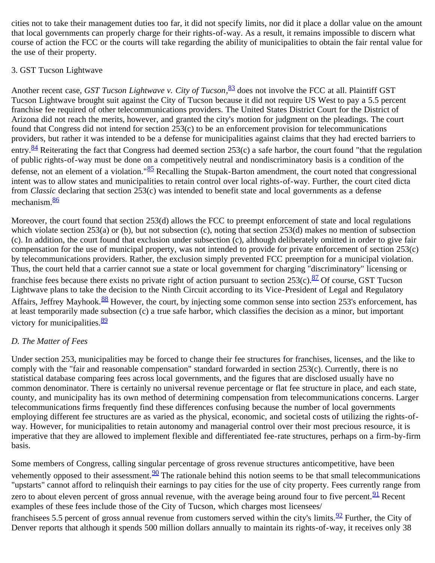cities not to take their management duties too far, it did not specify limits, nor did it place a dollar value on the amount that local governments can properly charge for their rights-of-way. As a result, it remains impossible to discern what course of action the FCC or the courts will take regarding the ability of municipalities to obtain the fair rental value for the use of their property.

### 3. GST Tucson Lightwave

Another recent case, *GST Tucson Lightwave v. City of Tucson*, [83](#page-23-17) does not involve the FCC at all. Plaintiff GST Tucson Lightwave brought suit against the City of Tucson because it did not require US West to pay a 5.5 percent franchise fee required of other telecommunications providers. The United States District Court for the District of Arizona did not reach the merits, however, and granted the city's motion for judgment on the pleadings. The court found that Congress did not intend for section 253(c) to be an enforcement provision for telecommunications providers, but rather it was intended to be a defense for municipalities against claims that they had erected barriers to entry. $\frac{84}{1}$  Reiterating the fact that Congress had deemed section 253(c) a safe harbor, the court found "that the regulation of public rights-of-way must be done on a competitively neutral and nondiscriminatory basis is a condition of the defense, not an element of a violation."<sup>[85](#page-23-19)</sup> Recalling the Stupak-Barton amendment, the court noted that congressional intent was to allow states and municipalities to retain control over local rights-of-way. Further, the court cited dicta from *Classic* declaring that section 253(c) was intended to benefit state and local governments as a defense mechanism.<sup>[86](#page-23-20)</sup>

Moreover, the court found that section 253(d) allows the FCC to preempt enforcement of state and local regulations which violate section  $253(a)$  or (b), but not subsection (c), noting that section  $253(d)$  makes no mention of subsection (c). In addition, the court found that exclusion under subsection (c), although deliberately omitted in order to give fair compensation for the use of municipal property, was not intended to provide for private enforcement of section 253(c) by telecommunications providers. Rather, the exclusion simply prevented FCC preemption for a municipal violation. Thus, the court held that a carrier cannot sue a state or local government for charging "discriminatory" licensing or franchise fees because there exists no private right of action pursuant to section  $253(c)$ .  $87\overline{)}$  Of course, GST Tucson Lightwave plans to take the decision to the Ninth Circuit according to its Vice-President of Legal and Regulatory Affairs, Jeffrey Mayhook.<sup>88</sup> However, the court, by injecting some common sense into section 253's enforcement, has at least temporarily made subsection (c) a true safe harbor, which classifies the decision as a minor, but important victory for municipalities.<sup>[89](#page-23-23)</sup>

# *D. The Matter of Fees*

Under section 253, municipalities may be forced to change their fee structures for franchises, licenses, and the like to comply with the "fair and reasonable compensation" standard forwarded in section 253(c). Currently, there is no statistical database comparing fees across local governments, and the figures that are disclosed usually have no common denominator. There is certainly no universal revenue percentage or flat fee structure in place, and each state, county, and municipality has its own method of determining compensation from telecommunications concerns. Larger telecommunications firms frequently find these differences confusing because the number of local governments employing different fee structures are as varied as the physical, economic, and societal costs of utilizing the rights-ofway. However, for municipalities to retain autonomy and managerial control over their most precious resource, it is imperative that they are allowed to implement flexible and differentiated fee-rate structures, perhaps on a firm-by-firm basis.

Some members of Congress, calling singular percentage of gross revenue structures anticompetitive, have been vehemently opposed to their assessment.  $\frac{90}{9}$  The rationale behind this notion seems to be that small telecommunications "upstarts" cannot afford to relinquish their earnings to pay cities for the use of city property. Fees currently range from zero to about eleven percent of gross annual revenue, with the average being around four to five percent.<sup>91</sup> Recent examples of these fees include those of the City of Tucson, which charges most licensees/

franchisees 5.5 percent of gross annual revenue from customers served within the city's limits.  $\frac{92}{2}$  Further, the City of Denver reports that although it spends 500 million dollars annually to maintain its rights-of-way, it receives only 38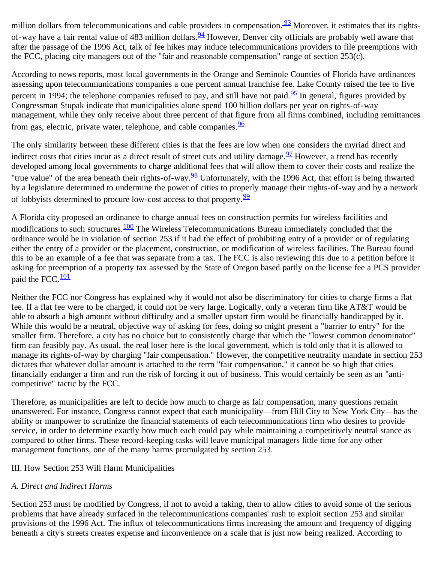million dollars from telecommunications and cable providers in compensation. **93** Moreover, it estimates that its rightsof-way have a fair rental value of 483 million dollars.<sup>94</sup> However, Denver city officials are probably well aware that after the passage of the 1996 Act, talk of fee hikes may induce telecommunications providers to file preemptions with the FCC, placing city managers out of the "fair and reasonable compensation" range of section 253(c).

According to news reports, most local governments in the Orange and Seminole Counties of Florida have ordinances assessing upon telecommunications companies a one percent annual franchise fee. Lake County raised the fee to five percent in 1994; the telephone companies refused to pay, and still have not paid. $\frac{95}{2}$  In general, figures provided by Congressman Stupak indicate that municipalities alone spend 100 billion dollars per year on rights-of-way management, while they only receive about three percent of that figure from all firms combined, including remittances from gas, electric, private water, telephone, and cable companies.<sup>[96](#page-24-4)</sup>

The only similarity between these different cities is that the fees are low when one considers the myriad direct and indirect costs that cities incur as a direct result of street cuts and utility damage.  $\frac{97}{2}$  $\frac{97}{2}$  $\frac{97}{2}$  However, a trend has recently developed among local governments to charge additional fees that will allow them to cover their costs and realize the "true value" of the area beneath their rights-of-way. $\frac{98}{20}$  Unfortunately, with the 1996 Act, that effort is being thwarted by a legislature determined to undermine the power of cities to properly manage their rights-of-way and by a network of lobbyists determined to procure low-cost access to that property.<sup>[99](#page-24-7)</sup>

A Florida city proposed an ordinance to charge annual fees on construction permits for wireless facilities and modifications to such structures.<sup>100</sup> The Wireless Telecommunications Bureau immediately concluded that the ordinance would be in violation of section 253 if it had the effect of prohibiting entry of a provider or of regulating either the entry of a provider or the placement, construction, or modification of wireless facilities. The Bureau found this to be an example of a fee that was separate from a tax. The FCC is also reviewing this due to a petition before it asking for preemption of a property tax assessed by the State of Oregon based partly on the license fee a PCS provider paid the FCC.<sup>[101](#page-24-9)</sup>

Neither the FCC nor Congress has explained why it would not also be discriminatory for cities to charge firms a flat fee. If a flat fee were to be charged, it could not be very large. Logically, only a veteran firm like AT&T would be able to absorb a high amount without difficulty and a smaller upstart firm would be financially handicapped by it. While this would be a neutral, objective way of asking for fees, doing so might present a "barrier to entry" for the smaller firm. Therefore, a city has no choice but to consistently charge that which the "lowest common denominator" firm can feasibly pay. As usual, the real loser here is the local government, which is told only that it is allowed to manage its rights-of-way by charging "fair compensation." However, the competitive neutrality mandate in section 253 dictates that whatever dollar amount is attached to the term "fair compensation," it cannot be so high that cities financially endanger a firm and run the risk of forcing it out of business. This would certainly be seen as an "anticompetitive" tactic by the FCC.

Therefore, as municipalities are left to decide how much to charge as fair compensation, many questions remain unanswered. For instance, Congress cannot expect that each municipality—from Hill City to New York City—has the ability or manpower to scrutinize the financial statements of each telecommunications firm who desires to provide service, in order to determine exactly how much each could pay while maintaining a competitively neutral stance as compared to other firms. These record-keeping tasks will leave municipal managers little time for any other management functions, one of the many harms promulgated by section 253.

# III. How Section 253 Will Harm Municipalities

# *A. Direct and Indirect Harms*

Section 253 must be modified by Congress, if not to avoid a taking, then to allow cities to avoid some of the serious problems that have already surfaced in the telecommunications companies' rush to exploit section 253 and similar provisions of the 1996 Act. The influx of telecommunications firms increasing the amount and frequency of digging beneath a city's streets creates expense and inconvenience on a scale that is just now being realized. According to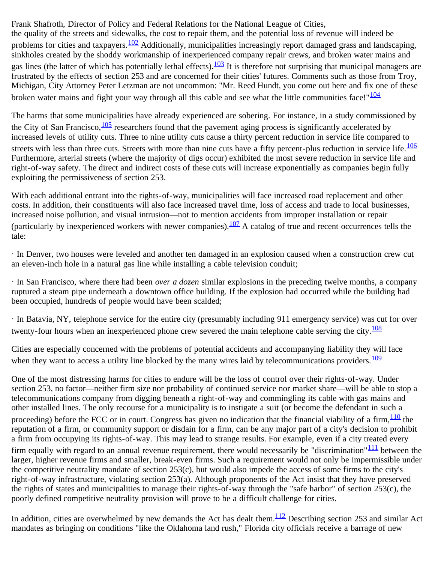Frank Shafroth, Director of Policy and Federal Relations for the National League of Cities, the quality of the streets and sidewalks, the cost to repair them, and the potential loss of revenue will indeed be problems for cities and taxpayers. $\frac{102}{2}$  $\frac{102}{2}$  $\frac{102}{2}$  Additionally, municipalities increasingly report damaged grass and landscaping, sinkholes created by the shoddy workmanship of inexperienced company repair crews, and broken water mains and gas lines (the latter of which has potentially lethal effects). $\frac{103}{10}$  $\frac{103}{10}$  $\frac{103}{10}$  It is therefore not surprising that municipal managers are frustrated by the effects of section 253 and are concerned for their cities' futures. Comments such as those from Troy, Michigan, City Attorney Peter Letzman are not uncommon: "Mr. Reed Hundt, you come out here and fix one of these broken water mains and fight your way through all this cable and see what the little communities face!" $\frac{104}{104}$  $\frac{104}{104}$  $\frac{104}{104}$ 

The harms that some municipalities have already experienced are sobering. For instance, in a study commissioned by the City of San Francisco,  $\frac{105}{2}$  researchers found that the pavement aging process is significantly accelerated by increased levels of utility cuts. Three to nine utility cuts cause a thirty percent reduction in service life compared to streets with less than three cuts. Streets with more than nine cuts have a fifty percent-plus reduction in service life.  $\frac{106}{100}$  $\frac{106}{100}$  $\frac{106}{100}$ Furthermore, arterial streets (where the majority of digs occur) exhibited the most severe reduction in service life and right-of-way safety. The direct and indirect costs of these cuts will increase exponentially as companies begin fully exploiting the permissiveness of section 253.

With each additional entrant into the rights-of-way, municipalities will face increased road replacement and other costs. In addition, their constituents will also face increased travel time, loss of access and trade to local businesses, increased noise pollution, and visual intrusion—not to mention accidents from improper installation or repair (particularly by inexperienced workers with newer companies). $\frac{107}{2}$  A catalog of true and recent occurrences tells the tale:

· In Denver, two houses were leveled and another ten damaged in an explosion caused when a construction crew cut an eleven-inch hole in a natural gas line while installing a cable television conduit;

· In San Francisco, where there had been *over a dozen* similar explosions in the preceding twelve months, a company ruptured a steam pipe underneath a downtown office building. If the explosion had occurred while the building had been occupied, hundreds of people would have been scalded;

· In Batavia, NY, telephone service for the entire city (presumably including 911 emergency service) was cut for over twenty-four hours when an inexperienced phone crew severed the main telephone cable serving the city.  $\frac{108}{108}$  $\frac{108}{108}$  $\frac{108}{108}$ 

Cities are especially concerned with the problems of potential accidents and accompanying liability they will face when they want to access a utility line blocked by the many wires laid by telecommunications providers.  $\frac{109}{109}$  $\frac{109}{109}$  $\frac{109}{109}$ 

One of the most distressing harms for cities to endure will be the loss of control over their rights-of-way. Under section 253, no factor—neither firm size nor probability of continued service nor market share—will be able to stop a telecommunications company from digging beneath a right-of-way and commingling its cable with gas mains and other installed lines. The only recourse for a municipality is to instigate a suit (or become the defendant in such a proceeding) before the FCC or in court. Congress has given no indication that the financial viability of a firm,  $\frac{110}{10}$  $\frac{110}{10}$  $\frac{110}{10}$  the reputation of a firm, or community support or disdain for a firm, can be any major part of a city's decision to prohibit a firm from occupying its rights-of-way. This may lead to strange results. For example, even if a city treated every firm equally with regard to an annual revenue requirement, there would necessarily be "discrimination" $111$  between the larger, higher revenue firms and smaller, break-even firms. Such a requirement would not only be impermissible under the competitive neutrality mandate of section 253(c), but would also impede the access of some firms to the city's right-of-way infrastructure, violating section 253(a). Although proponents of the Act insist that they have preserved the rights of states and municipalities to manage their rights-of-way through the "safe harbor" of section 253(c), the poorly defined competitive neutrality provision will prove to be a difficult challenge for cities.

In addition, cities are overwhelmed by new demands the Act has dealt them. $\frac{112}{2}$  $\frac{112}{2}$  $\frac{112}{2}$  Describing section 253 and similar Act mandates as bringing on conditions "like the Oklahoma land rush," Florida city officials receive a barrage of new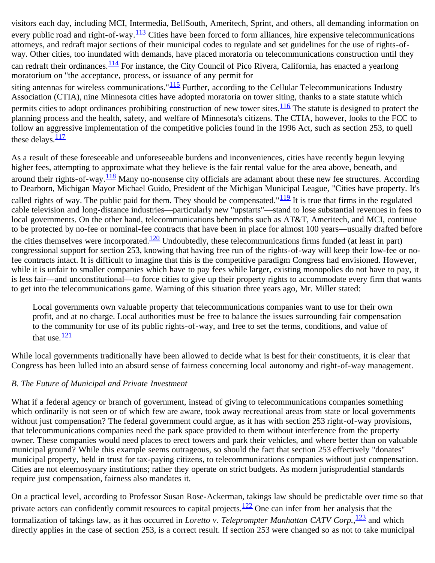visitors each day, including MCI, Intermedia, BellSouth, Ameritech, Sprint, and others, all demanding information on every public road and right-of-way. $\frac{113}{2}$  Cities have been forced to form alliances, hire expensive telecommunications attorneys, and redraft major sections of their municipal codes to regulate and set guidelines for the use of rights-ofway. Other cities, too inundated with demands, have placed moratoria on telecommunications construction until they can redraft their ordinances.<sup>114</sup> For instance, the City Council of Pico Rivera, California, has enacted a yearlong moratorium on "the acceptance, process, or issuance of any permit for siting antennas for wireless communications." $\frac{115}{115}$  Further, according to the Cellular Telecommunications Industry Association (CTIA), nine Minnesota cities have adopted moratoria on tower siting, thanks to a state statute which permits cities to adopt ordinances prohibiting construction of new tower sites.<sup>[116](#page-25-4)</sup> The statute is designed to protect the planning process and the health, safety, and welfare of Minnesota's citizens. The CTIA, however, looks to the FCC to follow an aggressive implementation of the competitive policies found in the 1996 Act, such as section 253, to quell these delays. $\frac{117}{112}$  $\frac{117}{112}$  $\frac{117}{112}$ 

As a result of these foreseeable and unforeseeable burdens and inconveniences, cities have recently begun levying higher fees, attempting to approximate what they believe is the fair rental value for the area above, beneath, and around their rights-of-way.<sup>118</sup> Many no-nonsense city officials are adamant about these new fee structures. According to Dearborn, Michigan Mayor Michael Guido, President of the Michigan Municipal League, "Cities have property. It's called rights of way. The public paid for them. They should be compensated." $\frac{119}{119}$  $\frac{119}{119}$  $\frac{119}{119}$  It is true that firms in the regulated cable television and long-distance industries—particularly new "upstarts"—stand to lose substantial revenues in fees to local governments. On the other hand, telecommunications behemoths such as AT&T, Ameritech, and MCI, continue to be protected by no-fee or nominal-fee contracts that have been in place for almost 100 years—usually drafted before the cities themselves were incorporated.<sup>[120](#page-25-8)</sup> Undoubtedly, these telecommunications firms funded (at least in part) congressional support for section 253, knowing that having free run of the rights-of-way will keep their low-fee or nofee contracts intact. It is difficult to imagine that this is the competitive paradigm Congress had envisioned. However, while it is unfair to smaller companies which have to pay fees while larger, existing monopolies do not have to pay, it is less fair—and unconstitutional—to force cities to give up their property rights to accommodate every firm that wants to get into the telecommunications game. Warning of this situation three years ago, Mr. Miller stated:

Local governments own valuable property that telecommunications companies want to use for their own profit, and at no charge. Local authorities must be free to balance the issues surrounding fair compensation to the community for use of its public rights-of-way, and free to set the terms, conditions, and value of that use. $\frac{121}{2}$  $\frac{121}{2}$  $\frac{121}{2}$ 

While local governments traditionally have been allowed to decide what is best for their constituents, it is clear that Congress has been lulled into an absurd sense of fairness concerning local autonomy and right-of-way management.

# *B. The Future of Municipal and Private Investment*

What if a federal agency or branch of government, instead of giving to telecommunications companies something which ordinarily is not seen or of which few are aware, took away recreational areas from state or local governments without just compensation? The federal government could argue, as it has with section 253 right-of-way provisions, that telecommunications companies need the park space provided to them without interference from the property owner. These companies would need places to erect towers and park their vehicles, and where better than on valuable municipal ground? While this example seems outrageous, so should the fact that section 253 effectively "donates" municipal property, held in trust for tax-paying citizens, to telecommunications companies without just compensation. Cities are not eleemosynary institutions; rather they operate on strict budgets. As modern jurisprudential standards require just compensation, fairness also mandates it.

On a practical level, according to Professor Susan Rose-Ackerman, takings law should be predictable over time so that private actors can confidently commit resources to capital projects. $122$  One can infer from her analysis that the formalization of takings law, as it has occurred in *Loretto v. Teleprompter Manhattan CATV Corp*., <sup>123</sup> and which directly applies in the case of section 253, is a correct result. If section 253 were changed so as not to take municipal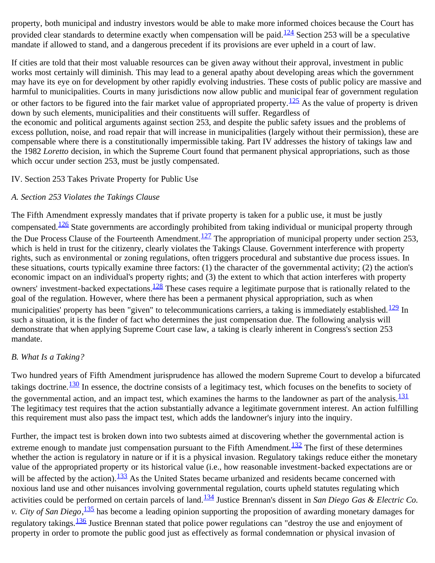property, both municipal and industry investors would be able to make more informed choices because the Court has provided clear standards to determine exactly when compensation will be paid.<sup>[124](#page-25-12)</sup> Section 253 will be a speculative mandate if allowed to stand, and a dangerous precedent if its provisions are ever upheld in a court of law.

If cities are told that their most valuable resources can be given away without their approval, investment in public works most certainly will diminish. This may lead to a general apathy about developing areas which the government may have its eye on for development by other rapidly evolving industries. These costs of public policy are massive and harmful to municipalities. Courts in many jurisdictions now allow public and municipal fear of government regulation or other factors to be figured into the fair market value of appropriated property. $125$  As the value of property is driven down by such elements, municipalities and their constituents will suffer. Regardless of the economic and political arguments against section 253, and despite the public safety issues and the problems of excess pollution, noise, and road repair that will increase in municipalities (largely without their permission), these are compensable where there is a constitutionally impermissible taking. Part IV addresses the history of takings law and the 1982 *Loretto* decision, in which the Supreme Court found that permanent physical appropriations, such as those which occur under section 253, must be justly compensated.

#### IV. Section 253 Takes Private Property for Public Use

#### *A. Section 253 Violates the Takings Clause*

The Fifth Amendment expressly mandates that if private property is taken for a public use, it must be justly compensated.<sup>[126](#page-25-14)</sup> State governments are accordingly prohibited from taking individual or municipal property through the Due Process Clause of the Fourteenth Amendment.<sup>[127](#page-25-15)</sup> The appropriation of municipal property under section 253, which is held in trust for the citizenry, clearly violates the Takings Clause. Government interference with property rights, such as environmental or zoning regulations, often triggers procedural and substantive due process issues. In these situations, courts typically examine three factors: (1) the character of the governmental activity; (2) the action's economic impact on an individual's property rights; and (3) the extent to which that action interferes with property owners' investment-backed expectations.<sup>128</sup> These cases require a legitimate purpose that is rationally related to the goal of the regulation. However, where there has been a permanent physical appropriation, such as when municipalities' property has been "given" to telecommunications carriers, a taking is immediately established.<sup>[129](#page-25-17)</sup> In such a situation, it is the finder of fact who determines the just compensation due. The following analysis will demonstrate that when applying Supreme Court case law, a taking is clearly inherent in Congress's section 253 mandate.

# *B. What Is a Taking?*

Two hundred years of Fifth Amendment jurisprudence has allowed the modern Supreme Court to develop a bifurcated takings doctrine. $\frac{130}{130}$  $\frac{130}{130}$  $\frac{130}{130}$  In essence, the doctrine consists of a legitimacy test, which focuses on the benefits to society of the governmental action, and an impact test, which examines the harms to the landowner as part of the analysis.<sup>[131](#page-25-19)</sup> The legitimacy test requires that the action substantially advance a legitimate government interest. An action fulfilling this requirement must also pass the impact test, which adds the landowner's injury into the inquiry.

Further, the impact test is broken down into two subtests aimed at discovering whether the governmental action is extreme enough to mandate just compensation pursuant to the Fifth Amendment. $\frac{132}{132}$  The first of these determines whether the action is regulatory in nature or if it is a physical invasion. Regulatory takings reduce either the monetary value of the appropriated property or its historical value (i.e., how reasonable investment-backed expectations are or will be affected by the action).<sup>133</sup> As the United States became urbanized and residents became concerned with noxious land use and other nuisances involving governmental regulation, courts upheld statutes regulating which activities could be performed on certain parcels of land.<sup>134</sup> Justice Brennan's dissent in *San Diego Gas & Electric Co*. *v. City of San Diego*, [135](#page-26-2) has become a leading opinion supporting the proposition of awarding monetary damages for regulatory takings.<sup>136</sup> Justice Brennan stated that police power regulations can "destroy the use and enjoyment of property in order to promote the public good just as effectively as formal condemnation or physical invasion of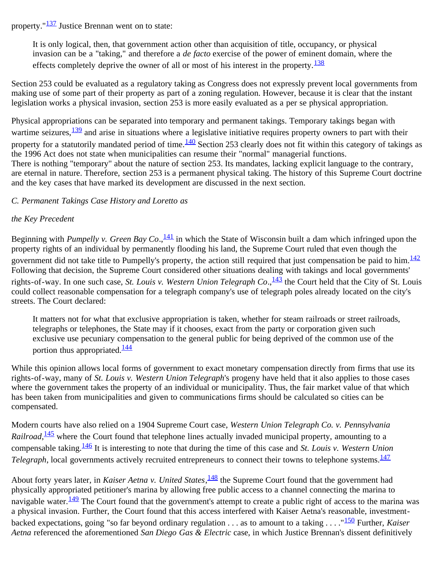property."[137](#page-26-4) Justice Brennan went on to state:

It is only logical, then, that government action other than acquisition of title, occupancy, or physical invasion can be a "taking," and therefore a *de facto* exercise of the power of eminent domain, where the effects completely deprive the owner of all or most of his interest in the property. $\frac{138}{138}$  $\frac{138}{138}$  $\frac{138}{138}$ 

Section 253 could be evaluated as a regulatory taking as Congress does not expressly prevent local governments from making use of some part of their property as part of a zoning regulation. However, because it is clear that the instant legislation works a physical invasion, section 253 is more easily evaluated as a per se physical appropriation.

Physical appropriations can be separated into temporary and permanent takings. Temporary takings began with wartime seizures,  $\frac{139}{132}$  and arise in situations where a legislative initiative requires property owners to part with their property for a statutorily mandated period of time.<sup>140</sup> Section 253 clearly does not fit within this category of takings as the 1996 Act does not state when municipalities can resume their "normal" managerial functions. There is nothing "temporary" about the nature of section 253. Its mandates, lacking explicit language to the contrary, are eternal in nature. Therefore, section 253 is a permanent physical taking. The history of this Supreme Court doctrine and the key cases that have marked its development are discussed in the next section.

#### *C. Permanent Takings Case History and Loretto as*

#### *the Key Precedent*

Beginning with *Pumpelly v. Green Bay Co.*, <sup>141</sup> in which the State of Wisconsin built a dam which infringed upon the property rights of an individual by permanently flooding his land, the Supreme Court ruled that even though the government did not take title to Pumpelly's property, the action still required that just compensation be paid to him. $\frac{142}{12}$  $\frac{142}{12}$  $\frac{142}{12}$ Following that decision, the Supreme Court considered other situations dealing with takings and local governments' rights-of-way. In one such case, *St. Louis v. Western Union Telegraph Co.*, <sup>143</sup> the Court held that the City of St. Louis could collect reasonable compensation for a telegraph company's use of telegraph poles already located on the city's streets. The Court declared:

It matters not for what that exclusive appropriation is taken, whether for steam railroads or street railroads, telegraphs or telephones, the State may if it chooses, exact from the party or corporation given such exclusive use pecuniary compensation to the general public for being deprived of the common use of the portion thus appropriated. $\frac{144}{144}$  $\frac{144}{144}$  $\frac{144}{144}$ 

While this opinion allows local forms of government to exact monetary compensation directly from firms that use its rights-of-way, many of *St. Louis v. Western Union Telegraph*'s progeny have held that it also applies to those cases where the government takes the property of an individual or municipality. Thus, the fair market value of that which has been taken from municipalities and given to communications firms should be calculated so cities can be compensated.

Modern courts have also relied on a 1904 Supreme Court case, *Western Union Telegraph Co. v. Pennsylvania* Railroad, <sup>145</sup> where the Court found that telephone lines actually invaded municipal property, amounting to a compensable taking[.146](#page-26-13) It is interesting to note that during the time of this case and *St. Louis v. Western Union Telegraph*, local governments actively recruited entrepreneurs to connect their towns to telephone systems.<sup>[147](#page-26-14)</sup>

About forty years later, in *Kaiser Aetna v. United States*, [148](#page-26-15) the Supreme Court found that the government had physically appropriated petitioner's marina by allowing free public access to a channel connecting the marina to navigable water. $\frac{149}{12}$  $\frac{149}{12}$  $\frac{149}{12}$  The Court found that the government's attempt to create a public right of access to the marina was a physical invasion. Further, the Court found that this access interfered with Kaiser Aetna's reasonable, investmentbacked expectations, going "so far beyond ordinary regulation . . . as to amount to a taking . . . ."[150](#page-26-17) Further, *Kaiser Aetna* referenced the aforementioned *San Diego Gas & Electric* case, in which Justice Brennan's dissent definitively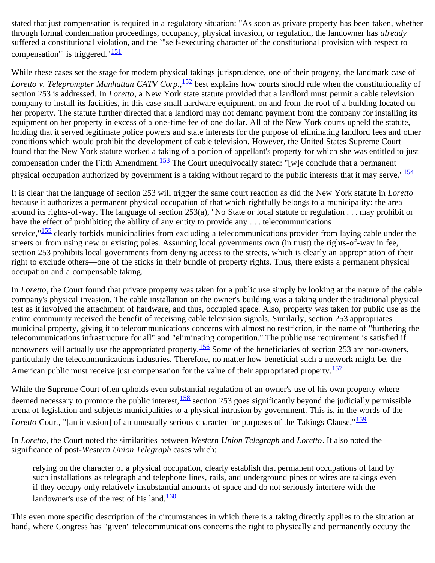stated that just compensation is required in a regulatory situation: "As soon as private property has been taken, whether through formal condemnation proceedings, occupancy, physical invasion, or regulation, the landowner has *already* suffered a constitutional violation, and the `"self-executing character of the constitutional provision with respect to compensation"' is triggered." $\frac{151}{151}$  $\frac{151}{151}$  $\frac{151}{151}$ 

While these cases set the stage for modern physical takings jurisprudence, one of their progeny, the landmark case of Loretto v. Teleprompter Manhattan CATV Corp., <sup>[152](#page-26-19)</sup> best explains how courts should rule when the constitutionality of section 253 is addressed. In *Loretto*, a New York state statute provided that a landlord must permit a cable television company to install its facilities, in this case small hardware equipment, on and from the roof of a building located on her property. The statute further directed that a landlord may not demand payment from the company for installing its equipment on her property in excess of a one-time fee of one dollar. All of the New York courts upheld the statute, holding that it served legitimate police powers and state interests for the purpose of eliminating landlord fees and other conditions which would prohibit the development of cable television. However, the United States Supreme Court found that the New York statute worked a taking of a portion of appellant's property for which she was entitled to just compensation under the Fifth Amendment.<sup>153</sup> The Court unequivocally stated: "[w]e conclude that a permanent physical occupation authorized by government is a taking without regard to the public interests that it may serve."<sup>[154](#page-26-21)</sup>

It is clear that the language of section 253 will trigger the same court reaction as did the New York statute in *Loretto* because it authorizes a permanent physical occupation of that which rightfully belongs to a municipality: the area around its rights-of-way. The language of section 253(a), "No State or local statute or regulation . . . may prohibit or have the effect of prohibiting the ability of any entity to provide any ... telecommunications service,"<sup>[155](#page-26-22)</sup> clearly forbids municipalities from excluding a telecommunications provider from laying cable under the streets or from using new or existing poles. Assuming local governments own (in trust) the rights-of-way in fee, section 253 prohibits local governments from denying access to the streets, which is clearly an appropriation of their right to exclude others—one of the sticks in their bundle of property rights. Thus, there exists a permanent physical occupation and a compensable taking.

In *Loretto*, the Court found that private property was taken for a public use simply by looking at the nature of the cable company's physical invasion. The cable installation on the owner's building was a taking under the traditional physical test as it involved the attachment of hardware, and thus, occupied space. Also, property was taken for public use as the entire community received the benefit of receiving cable television signals. Similarly, section 253 appropriates municipal property, giving it to telecommunications concerns with almost no restriction, in the name of "furthering the telecommunications infrastructure for all" and "eliminating competition." The public use requirement is satisfied if nonowners will actually use the appropriated property.<sup>156</sup> Some of the beneficiaries of section 253 are non-owners, particularly the telecommunications industries. Therefore, no matter how beneficial such a network might be, the American public must receive just compensation for the value of their appropriated property.<sup>[157](#page-27-1)</sup>

While the Supreme Court often upholds even substantial regulation of an owner's use of his own property where deemed necessary to promote the public interest,  $\frac{158}{2}$  $\frac{158}{2}$  $\frac{158}{2}$  section 253 goes significantly beyond the judicially permissible arena of legislation and subjects municipalities to a physical intrusion by government. This is, in the words of the *Loretto* Court, "[an invasion] of an unusually serious character for purposes of the Takings Clause."<sup>[159](#page-27-3)</sup>

In *Loretto,* the Court noted the similarities between *Western Union Telegraph* and *Loretto*. It also noted the significance of post-*Western Union Telegraph* cases which:

relying on the character of a physical occupation, clearly establish that permanent occupations of land by such installations as telegraph and telephone lines, rails, and underground pipes or wires are takings even if they occupy only relatively insubstantial amounts of space and do not seriously interfere with the landowner's use of the rest of his land. $\frac{160}{160}$  $\frac{160}{160}$  $\frac{160}{160}$ 

This even more specific description of the circumstances in which there is a taking directly applies to the situation at hand, where Congress has "given" telecommunications concerns the right to physically and permanently occupy the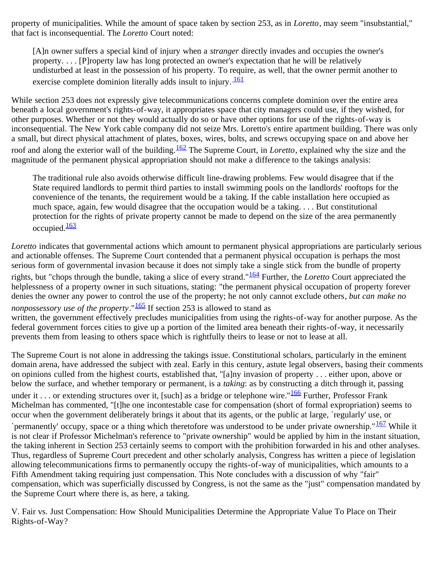property of municipalities. While the amount of space taken by section 253, as in *Loretto*, may seem "insubstantial," that fact is inconsequential. The *Loretto* Court noted:

[A]n owner suffers a special kind of injury when a *stranger* directly invades and occupies the owner's property. . . . [P]roperty law has long protected an owner's expectation that he will be relatively undisturbed at least in the possession of his property. To require, as well, that the owner permit another to exercise complete dominion literally adds insult to injury.  $\frac{161}{ }$ 

While section 253 does not expressly give telecommunications concerns complete dominion over the entire area beneath a local government's rights-of-way, it appropriates space that city managers could use, if they wished, for other purposes. Whether or not they would actually do so or have other options for use of the rights-of-way is inconsequential. The New York cable company did not seize Mrs. Loretto's entire apartment building. There was only a small, but direct physical attachment of plates, boxes, wires, bolts, and screws occupying space on and above her roof and along the exterior wall of the building.[162](#page-27-5) The Supreme Court, in *Loretto*, explained why the size and the magnitude of the permanent physical appropriation should not make a difference to the takings analysis:

The traditional rule also avoids otherwise difficult line-drawing problems. Few would disagree that if the State required landlords to permit third parties to install swimming pools on the landlords' rooftops for the convenience of the tenants, the requirement would be a taking. If the cable installation here occupied as much space, again, few would disagree that the occupation would be a taking. . . . But constitutional protection for the rights of private property cannot be made to depend on the size of the area permanently occupied.<sup>[163](#page-27-6)</sup>

*Loretto* indicates that governmental actions which amount to permanent physical appropriations are particularly serious and actionable offenses. The Supreme Court contended that a permanent physical occupation is perhaps the most serious form of governmental invasion because it does not simply take a single stick from the bundle of property rights, but "chops through the bundle, taking a slice of every strand."[164](#page-27-7) Further, the *Loretto* Court appreciated the helplessness of a property owner in such situations, stating: "the permanent physical occupation of property forever denies the owner any power to control the use of the property; he not only cannot exclude others*, but can make no nonpossessory use of the property*." $\frac{165}{16}$  $\frac{165}{16}$  $\frac{165}{16}$  If section 253 is allowed to stand as written, the government effectively precludes municipalities from using the rights-of-way for another purpose. As the federal government forces cities to give up a portion of the limited area beneath their rights-of-way, it necessarily prevents them from leasing to others space which is rightfully theirs to lease or not to lease at all.

The Supreme Court is not alone in addressing the takings issue. Constitutional scholars, particularly in the eminent domain arena, have addressed the subject with zeal. Early in this century, astute legal observers, basing their comments on opinions culled from the highest courts, established that, "[a]ny invasion of property . . . either upon, above or below the surface, and whether temporary or permanent, is a *taking*: as by constructing a ditch through it, passing under it . . . or extending structures over it, [such] as a bridge or telephone wire." $\frac{166}{160}$  $\frac{166}{160}$  $\frac{166}{160}$  Further, Professor Frank Michelman has commented, "[t]he one incontestable case for compensation (short of formal expropriation) seems to occur when the government deliberately brings it about that its agents, or the public at large, `regularly' use, or `permanently' occupy, space or a thing which theretofore was understood to be under private ownership." $167$  While it

is not clear if Professor Michelman's reference to "private ownership" would be applied by him in the instant situation, the taking inherent in Section 253 certainly seems to comport with the prohibition forwarded in his and other analyses. Thus, regardless of Supreme Court precedent and other scholarly analysis, Congress has written a piece of legislation allowing telecommunications firms to permanently occupy the rights-of-way of municipalities, which amounts to a Fifth Amendment taking requiring just compensation. This Note concludes with a discussion of why "fair" compensation, which was superficially discussed by Congress, is not the same as the "just" compensation mandated by the Supreme Court where there is, as here, a taking.

V. Fair vs. Just Compensation: How Should Municipalities Determine the Appropriate Value To Place on Their Rights-of-Way?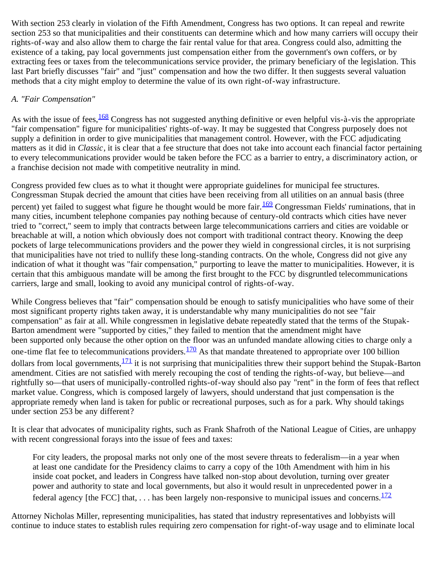With section 253 clearly in violation of the Fifth Amendment, Congress has two options. It can repeal and rewrite section 253 so that municipalities and their constituents can determine which and how many carriers will occupy their rights-of-way and also allow them to charge the fair rental value for that area. Congress could also, admitting the existence of a taking, pay local governments just compensation either from the government's own coffers, or by extracting fees or taxes from the telecommunications service provider, the primary beneficiary of the legislation. This last Part briefly discusses "fair" and "just" compensation and how the two differ. It then suggests several valuation methods that a city might employ to determine the value of its own right-of-way infrastructure.

#### *A. "Fair Compensation"*

As with the issue of fees,  $\frac{168}{2}$  $\frac{168}{2}$  $\frac{168}{2}$  Congress has not suggested anything definitive or even helpful vis-à-vis the appropriate "fair compensation" figure for municipalities' rights-of-way. It may be suggested that Congress purposely does not supply a definition in order to give municipalities that management control. However, with the FCC adjudicating matters as it did in *Classic*, it is clear that a fee structure that does not take into account each financial factor pertaining to every telecommunications provider would be taken before the FCC as a barrier to entry, a discriminatory action, or a franchise decision not made with competitive neutrality in mind.

Congress provided few clues as to what it thought were appropriate guidelines for municipal fee structures. Congressman Stupak decried the amount that cities have been receiving from all utilities on an annual basis (three percent) yet failed to suggest what figure he thought would be more fair.<sup>[169](#page-27-12)</sup> Congressman Fields' ruminations, that in many cities, incumbent telephone companies pay nothing because of century-old contracts which cities have never tried to "correct," seem to imply that contracts between large telecommunications carriers and cities are voidable or breachable at will, a notion which obviously does not comport with traditional contract theory. Knowing the deep pockets of large telecommunications providers and the power they wield in congressional circles, it is not surprising that municipalities have not tried to nullify these long-standing contracts. On the whole, Congress did not give any indication of what it thought was "fair compensation," purporting to leave the matter to municipalities. However, it is certain that this ambiguous mandate will be among the first brought to the FCC by disgruntled telecommunications carriers, large and small, looking to avoid any municipal control of rights-of-way.

While Congress believes that "fair" compensation should be enough to satisfy municipalities who have some of their most significant property rights taken away, it is understandable why many municipalities do not see "fair compensation" as fair at all. While congressmen in legislative debate repeatedly stated that the terms of the Stupak-Barton amendment were "supported by cities," they failed to mention that the amendment might have been supported only because the other option on the floor was an unfunded mandate allowing cities to charge only a one-time flat fee to telecommunications providers. $\frac{170}{2}$  $\frac{170}{2}$  $\frac{170}{2}$  As that mandate threatened to appropriate over 100 billion dollars from local governments,  $\frac{171}{12}$  $\frac{171}{12}$  $\frac{171}{12}$  it is not surprising that municipalities threw their support behind the Stupak-Barton amendment. Cities are not satisfied with merely recouping the cost of tending the rights-of-way, but believe—and rightfully so—that users of municipally-controlled rights-of-way should also pay "rent" in the form of fees that reflect market value. Congress, which is composed largely of lawyers, should understand that just compensation is the appropriate remedy when land is taken for public or recreational purposes, such as for a park. Why should takings under section 253 be any different?

It is clear that advocates of municipality rights, such as Frank Shafroth of the National League of Cities, are unhappy with recent congressional forays into the issue of fees and taxes:

For city leaders, the proposal marks not only one of the most severe threats to federalism—in a year when at least one candidate for the Presidency claims to carry a copy of the 10th Amendment with him in his inside coat pocket, and leaders in Congress have talked non-stop about devolution, turning over greater power and authority to state and local governments, but also it would result in unprecedented power in a federal agency [the FCC] that,  $\dots$  has been largely non-responsive to municipal issues and concerns.  $\frac{172}{12}$  $\frac{172}{12}$  $\frac{172}{12}$ 

Attorney Nicholas Miller, representing municipalities, has stated that industry representatives and lobbyists will continue to induce states to establish rules requiring zero compensation for right-of-way usage and to eliminate local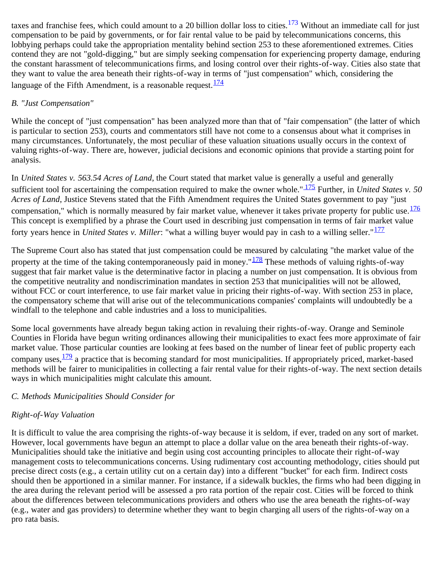taxes and franchise fees, which could amount to a 20 billion dollar loss to cities.<sup>[173](#page-27-16)</sup> Without an immediate call for just compensation to be paid by governments, or for fair rental value to be paid by telecommunications concerns, this lobbying perhaps could take the appropriation mentality behind section 253 to these aforementioned extremes. Cities contend they are not "gold-digging," but are simply seeking compensation for experiencing property damage, enduring the constant harassment of telecommunications firms, and losing control over their rights-of-way. Cities also state that they want to value the area beneath their rights-of-way in terms of "just compensation" which, considering the language of the Fifth Amendment, is a reasonable request.  $\frac{174}{6}$  $\frac{174}{6}$  $\frac{174}{6}$ 

# *B. "Just Compensation"*

While the concept of "just compensation" has been analyzed more than that of "fair compensation" (the latter of which is particular to section 253), courts and commentators still have not come to a consensus about what it comprises in many circumstances. Unfortunately, the most peculiar of these valuation situations usually occurs in the context of valuing rights-of-way. There are, however, judicial decisions and economic opinions that provide a starting point for analysis.

In *United States v. 563.54 Acres of Land*, the Court stated that market value is generally a useful and generally sufficient tool for ascertaining the compensation required to make the owner whole."<sup>175</sup> Further, in *United States v. 50 Acres of Land*, Justice Stevens stated that the Fifth Amendment requires the United States government to pay "just compensation," which is normally measured by fair market value, whenever it takes private property for public use. $\frac{176}{176}$  $\frac{176}{176}$  $\frac{176}{176}$ This concept is exemplified by a phrase the Court used in describing just compensation in terms of fair market value forty years hence in *United States v. Miller*: "what a willing buyer would pay in cash to a willing seller."<sup>[177](#page-27-19)</sup>

The Supreme Court also has stated that just compensation could be measured by calculating "the market value of the property at the time of the taking contemporaneously paid in money." $\frac{178}{128}$  $\frac{178}{128}$  $\frac{178}{128}$  These methods of valuing rights-of-way suggest that fair market value is the determinative factor in placing a number on just compensation. It is obvious from the competitive neutrality and nondiscrimination mandates in section 253 that municipalities will not be allowed, without FCC or court interference, to use fair market value in pricing their rights-of-way. With section 253 in place, the compensatory scheme that will arise out of the telecommunications companies' complaints will undoubtedly be a windfall to the telephone and cable industries and a loss to municipalities.

Some local governments have already begun taking action in revaluing their rights-of-way. Orange and Seminole Counties in Florida have begun writing ordinances allowing their municipalities to exact fees more approximate of fair market value. Those particular counties are looking at fees based on the number of linear feet of public property each company uses,  $\frac{179}{2}$  $\frac{179}{2}$  $\frac{179}{2}$  a practice that is becoming standard for most municipalities. If appropriately priced, market-based methods will be fairer to municipalities in collecting a fair rental value for their rights-of-way. The next section details ways in which municipalities might calculate this amount.

# *C. Methods Municipalities Should Consider for*

# *Right-of-Way Valuation*

It is difficult to value the area comprising the rights-of-way because it is seldom, if ever, traded on any sort of market. However, local governments have begun an attempt to place a dollar value on the area beneath their rights-of-way. Municipalities should take the initiative and begin using cost accounting principles to allocate their right-of-way management costs to telecommunications concerns. Using rudimentary cost accounting methodology, cities should put precise direct costs (e.g., a certain utility cut on a certain day) into a different "bucket" for each firm. Indirect costs should then be apportioned in a similar manner. For instance, if a sidewalk buckles, the firms who had been digging in the area during the relevant period will be assessed a pro rata portion of the repair cost. Cities will be forced to think about the differences between telecommunications providers and others who use the area beneath the rights-of-way (e.g., water and gas providers) to determine whether they want to begin charging all users of the rights-of-way on a pro rata basis.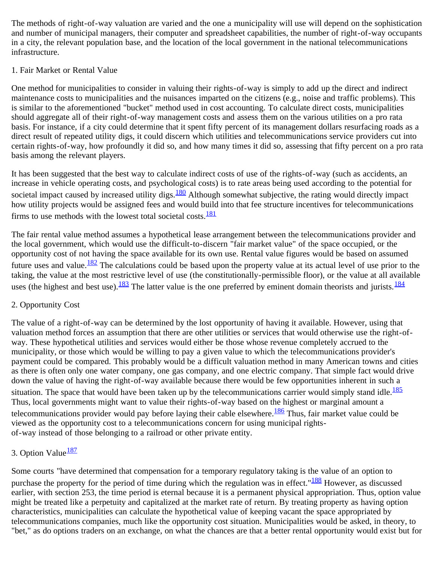The methods of right-of-way valuation are varied and the one a municipality will use will depend on the sophistication and number of municipal managers, their computer and spreadsheet capabilities, the number of right-of-way occupants in a city, the relevant population base, and the location of the local government in the national telecommunications infrastructure.

### 1. Fair Market or Rental Value

One method for municipalities to consider in valuing their rights-of-way is simply to add up the direct and indirect maintenance costs to municipalities and the nuisances imparted on the citizens (e.g., noise and traffic problems). This is similar to the aforementioned "bucket" method used in cost accounting. To calculate direct costs, municipalities should aggregate all of their right-of-way management costs and assess them on the various utilities on a pro rata basis. For instance, if a city could determine that it spent fifty percent of its management dollars resurfacing roads as a direct result of repeated utility digs, it could discern which utilities and telecommunications service providers cut into certain rights-of-way, how profoundly it did so, and how many times it did so, assessing that fifty percent on a pro rata basis among the relevant players.

It has been suggested that the best way to calculate indirect costs of use of the rights-of-way (such as accidents, an increase in vehicle operating costs, and psychological costs) is to rate areas being used according to the potential for societal impact caused by increased utility digs.<sup>[180](#page-28-2)</sup> Although somewhat subjective, the rating would directly impact how utility projects would be assigned fees and would build into that fee structure incentives for telecommunications firms to use methods with the lowest total societal costs.<sup>[181](#page-28-3)</sup>

The fair rental value method assumes a hypothetical lease arrangement between the telecommunications provider and the local government, which would use the difficult-to-discern "fair market value" of the space occupied, or the opportunity cost of not having the space available for its own use. Rental value figures would be based on assumed future uses and value.<sup>182</sup> The calculations could be based upon the property value at its actual level of use prior to the taking, the value at the most restrictive level of use (the constitutionally-permissible floor), or the value at all available uses (the highest and best use).<sup>183</sup> The latter value is the one preferred by eminent domain theorists and jurists.<sup>[184](#page-28-6)</sup>

# 2. Opportunity Cost

The value of a right-of-way can be determined by the lost opportunity of having it available. However, using that valuation method forces an assumption that there are other utilities or services that would otherwise use the right-ofway. These hypothetical utilities and services would either be those whose revenue completely accrued to the municipality, or those which would be willing to pay a given value to which the telecommunications provider's payment could be compared. This probably would be a difficult valuation method in many American towns and cities as there is often only one water company, one gas company, and one electric company. That simple fact would drive down the value of having the right-of-way available because there would be few opportunities inherent in such a situation. The space that would have been taken up by the telecommunications carrier would simply stand idle. $\frac{185}{185}$  $\frac{185}{185}$  $\frac{185}{185}$ Thus, local governments might want to value their rights-of-way based on the highest or marginal amount a telecommunications provider would pay before laying their cable elsewhere.<sup>186</sup> Thus, fair market value could be viewed as the opportunity cost to a telecommunications concern for using municipal rightsof-way instead of those belonging to a railroad or other private entity.

# 3. Option Value $\frac{187}{18}$  $\frac{187}{18}$  $\frac{187}{18}$

Some courts "have determined that compensation for a temporary regulatory taking is the value of an option to purchase the property for the period of time during which the regulation was in effect."<sup>[188](#page-28-10)</sup> However, as discussed earlier, with section 253, the time period is eternal because it is a permanent physical appropriation. Thus, option value might be treated like a perpetuity and capitalized at the market rate of return. By treating property as having option characteristics, municipalities can calculate the hypothetical value of keeping vacant the space appropriated by telecommunications companies, much like the opportunity cost situation. Municipalities would be asked, in theory, to "bet," as do options traders on an exchange, on what the chances are that a better rental opportunity would exist but for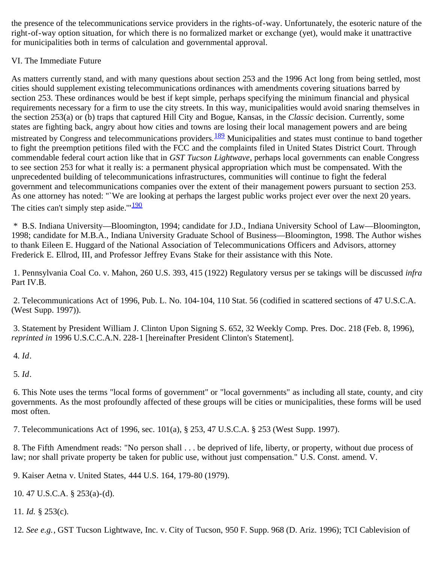the presence of the telecommunications service providers in the rights-of-way. Unfortunately, the esoteric nature of the right-of-way option situation, for which there is no formalized market or exchange (yet), would make it unattractive for municipalities both in terms of calculation and governmental approval.

### VI. The Immediate Future

As matters currently stand, and with many questions about section 253 and the 1996 Act long from being settled, most cities should supplement existing telecommunications ordinances with amendments covering situations barred by section 253. These ordinances would be best if kept simple, perhaps specifying the minimum financial and physical requirements necessary for a firm to use the city streets. In this way, municipalities would avoid snaring themselves in the section 253(a) or (b) traps that captured Hill City and Bogue, Kansas, in the *Classic* decision. Currently, some states are fighting back, angry about how cities and towns are losing their local management powers and are being mistreated by Congress and telecommunications providers.<sup>189</sup> Municipalities and states must continue to band together to fight the preemption petitions filed with the FCC and the complaints filed in United States District Court. Through commendable federal court action like that in *GST Tucson Lightwave*, perhaps local governments can enable Congress to see section 253 for what it really is: a permanent physical appropriation which must be compensated. With the unprecedented building of telecommunications infrastructures, communities will continue to fight the federal government and telecommunications companies over the extent of their management powers pursuant to section 253. As one attorney has noted: "`We are looking at perhaps the largest public works project ever over the next 20 years. The cities can't simply step aside. $^{\prime\prime}$  [190](#page-28-12)

<span id="page-19-0"></span> \* B.S. Indiana University—Bloomington, 1994; candidate for J.D., Indiana University School of Law—Bloomington, 1998; candidate for M.B.A., Indiana University Graduate School of Business—Bloomington, 1998. The Author wishes to thank Eileen E. Huggard of the National Association of Telecommunications Officers and Advisors, attorney Frederick E. Ellrod, III, and Professor Jeffrey Evans Stake for their assistance with this Note.

<span id="page-19-1"></span> 1. Pennsylvania Coal Co. v. Mahon, 260 U.S. 393, 415 (1922) Regulatory versus per se takings will be discussed *infra* Part IV.B.

<span id="page-19-2"></span> 2. Telecommunications Act of 1996, Pub. L. No. 104-104, 110 Stat. 56 (codified in scattered sections of 47 U.S.C.A. (West Supp. 1997)).

 3. Statement by President William J. Clinton Upon Signing S. 652, 32 Weekly Comp. Pres. Doc. 218 (Feb. 8, 1996), *reprinted in* 1996 U.S.C.C.A.N. 228-1 [hereinafter President Clinton's Statement].

<span id="page-19-3"></span>4*. Id*.

<span id="page-19-4"></span>5*. Id*.

<span id="page-19-5"></span> 6. This Note uses the terms "local forms of government" or "local governments" as including all state, county, and city governments. As the most profoundly affected of these groups will be cities or municipalities, these forms will be used most often.

7. Telecommunications Act of 1996, sec. 101(a), § 253, 47 U.S.C.A. § 253 (West Supp. 1997).

<span id="page-19-6"></span> 8. The Fifth Amendment reads: "No person shall . . . be deprived of life, liberty, or property, without due process of law; nor shall private property be taken for public use, without just compensation." U.S. Const. amend. V.

<span id="page-19-7"></span>9. Kaiser Aetna v. United States, 444 U.S. 164, 179-80 (1979).

<span id="page-19-8"></span>10. 47 U.S.C.A. § 253(a)-(d).

<span id="page-19-9"></span>11*. Id.* § 253(c).

<span id="page-19-10"></span>12*. See e.g.*, GST Tucson Lightwave, Inc. v. City of Tucson, 950 F. Supp. 968 (D. Ariz. 1996); TCI Cablevision of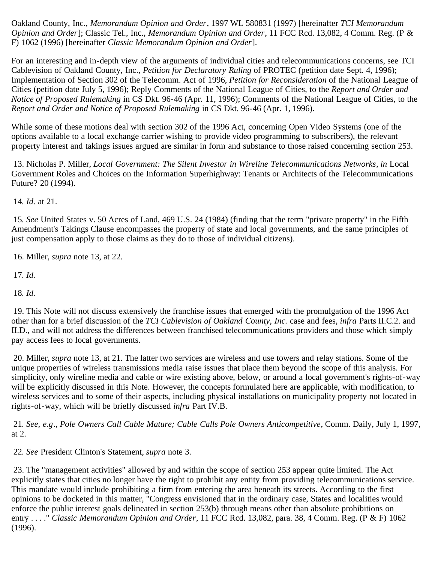Oakland County, Inc., *Memorandum Opinion and Order*, 1997 WL 580831 (1997) [hereinafter *TCI Memorandum Opinion and Order*]; Classic Tel., Inc., *Memorandum Opinion and Order*, 11 FCC Rcd. 13,082, 4 Comm. Reg. (P & F) 1062 (1996) [hereinafter *Classic Memorandum Opinion and Order*].

For an interesting and in-depth view of the arguments of individual cities and telecommunications concerns, see TCI Cablevision of Oakland County, Inc., *Petition for Declaratory Ruling* of PROTEC (petition date Sept. 4, 1996); Implementation of Section 302 of the Telecomm. Act of 1996, *Petition for Reconsideration* of the National League of Cities (petition date July 5, 1996); Reply Comments of the National League of Cities, to the *Report and Order and Notice of Proposed Rulemaking* in CS Dkt. 96-46 (Apr. 11, 1996); Comments of the National League of Cities, to the *Report and Order and Notice of Proposed Rulemaking* in CS Dkt. 96-46 (Apr. 1, 1996).

While some of these motions deal with section 302 of the 1996 Act, concerning Open Video Systems (one of the options available to a local exchange carrier wishing to provide video programming to subscribers), the relevant property interest and takings issues argued are similar in form and substance to those raised concerning section 253.

<span id="page-20-0"></span> 13. Nicholas P. Miller, *Local Government: The Silent Investor in Wireline Telecommunications Networks*, *in* Local Government Roles and Choices on the Information Superhighway: Tenants or Architects of the Telecommunications Future? 20 (1994).

<span id="page-20-1"></span>14*. Id*. at 21.

<span id="page-20-2"></span>15*. See* United States v. 50 Acres of Land, 469 U.S. 24 (1984) (finding that the term "private property" in the Fifth Amendment's Takings Clause encompasses the property of state and local governments, and the same principles of just compensation apply to those claims as they do to those of individual citizens).

<span id="page-20-3"></span>16. Miller, *supra* note 13, at 22.

<span id="page-20-4"></span>17*. Id*.

<span id="page-20-5"></span>18*. Id*.

<span id="page-20-6"></span> 19. This Note will not discuss extensively the franchise issues that emerged with the promulgation of the 1996 Act other than for a brief discussion of the *TCI Cablevision of Oakland County, Inc.* case and fees, *infra* Parts II.C.2. and II.D., and will not address the differences between franchised telecommunications providers and those which simply pay access fees to local governments.

<span id="page-20-7"></span> 20. Miller, *supra* note 13, at 21. The latter two services are wireless and use towers and relay stations. Some of the unique properties of wireless transmissions media raise issues that place them beyond the scope of this analysis. For simplicity, only wireline media and cable or wire existing above, below, or around a local government's rights-of-way will be explicitly discussed in this Note. However, the concepts formulated here are applicable, with modification, to wireless services and to some of their aspects, including physical installations on municipality property not located in rights-of-way, which will be briefly discussed *infra* Part IV.B.

<span id="page-20-8"></span>21*. See, e.g*., *Pole Owners Call Cable Mature; Cable Calls Pole Owners Anticompetitive*, Comm. Daily, July 1, 1997, at 2.

<span id="page-20-9"></span>22*. See* President Clinton's Statement, *supra* note 3.

<span id="page-20-10"></span> 23. The "management activities" allowed by and within the scope of section 253 appear quite limited. The Act explicitly states that cities no longer have the right to prohibit any entity from providing telecommunications service. This mandate would include prohibiting a firm from entering the area beneath its streets. According to the first opinions to be docketed in this matter, "Congress envisioned that in the ordinary case, States and localities would enforce the public interest goals delineated in section 253(b) through means other than absolute prohibitions on entry . . . ." *Classic Memorandum Opinion and Order*, 11 FCC Rcd. 13,082, para. 38, 4 Comm. Reg. (P & F) 1062 (1996).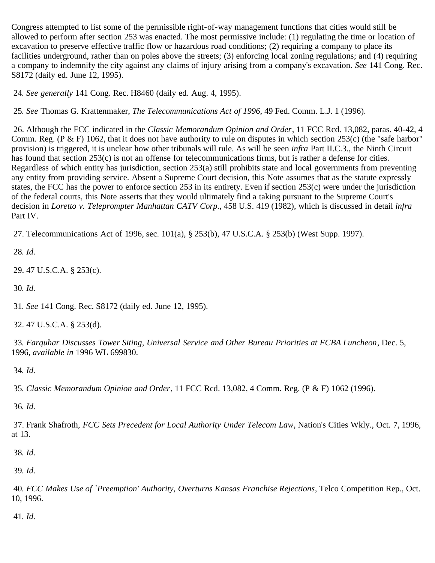Congress attempted to list some of the permissible right-of-way management functions that cities would still be allowed to perform after section 253 was enacted. The most permissive include: (1) regulating the time or location of excavation to preserve effective traffic flow or hazardous road conditions; (2) requiring a company to place its facilities underground, rather than on poles above the streets; (3) enforcing local zoning regulations; and (4) requiring a company to indemnify the city against any claims of injury arising from a company's excavation. *See* 141 Cong. Rec. S8172 (daily ed. June 12, 1995).

<span id="page-21-0"></span>24*. See generally* 141 Cong. Rec. H8460 (daily ed. Aug. 4, 1995).

<span id="page-21-1"></span>25*. See* Thomas G. Krattenmaker, *The Telecommunications Act of 1996*, 49 Fed. Comm. L.J. 1 (1996).

<span id="page-21-2"></span> 26. Although the FCC indicated in the *Classic Memorandum Opinion and Order*, 11 FCC Rcd. 13,082, paras. 40-42, 4 Comm. Reg. (P & F) 1062, that it does not have authority to rule on disputes in which section  $253(c)$  (the "safe harbor" provision) is triggered, it is unclear how other tribunals will rule. As will be seen *infra* Part II.C.3., the Ninth Circuit has found that section 253(c) is not an offense for telecommunications firms, but is rather a defense for cities. Regardless of which entity has jurisdiction, section 253(a) still prohibits state and local governments from preventing any entity from providing service. Absent a Supreme Court decision, this Note assumes that as the statute expressly states, the FCC has the power to enforce section 253 in its entirety. Even if section 253(c) were under the jurisdiction of the federal courts, this Note asserts that they would ultimately find a taking pursuant to the Supreme Court's decision in *Loretto v. Teleprompter Manhattan CATV Corp.*, 458 U.S. 419 (1982), which is discussed in detail *infra* Part IV.

<span id="page-21-3"></span>27. Telecommunications Act of 1996, sec. 101(a), § 253(b), 47 U.S.C.A. § 253(b) (West Supp. 1997).

<span id="page-21-4"></span>28*. Id*.

<span id="page-21-5"></span>29. 47 U.S.C.A. § 253(c).

<span id="page-21-6"></span>30*. Id*.

<span id="page-21-7"></span>31*. See* 141 Cong. Rec. S8172 (daily ed. June 12, 1995).

<span id="page-21-8"></span>32. 47 U.S.C.A. § 253(d).

<span id="page-21-9"></span>33*. Farquhar Discusses Tower Siting, Universal Service and Other Bureau Priorities at FCBA Luncheon*, Dec. 5, 1996, *available in* 1996 WL 699830.

<span id="page-21-10"></span>34*. Id*.

<span id="page-21-11"></span>35*. Classic Memorandum Opinion and Order*, 11 FCC Rcd. 13,082, 4 Comm. Reg. (P & F) 1062 (1996).

36*. Id*.

<span id="page-21-12"></span> 37. Frank Shafroth, *FCC Sets Precedent for Local Authority Under Telecom Law*, Nation's Cities Wkly., Oct. 7, 1996, at 13.

<span id="page-21-13"></span>38*. Id*.

<span id="page-21-14"></span>39*. Id*.

<span id="page-21-15"></span>40*. FCC Makes Use of `Preemption' Authority, Overturns Kansas Franchise Rejections*, Telco Competition Rep., Oct. 10, 1996.

<span id="page-21-16"></span>41*. Id*.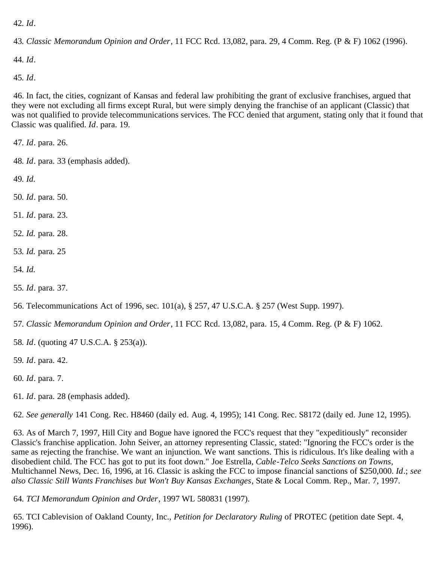<span id="page-22-0"></span>*. Id*.

<span id="page-22-1"></span>*. Classic Memorandum Opinion and Order*, 11 FCC Rcd. 13,082, para. 29, 4 Comm. Reg. (P & F) 1062 (1996).

<span id="page-22-2"></span>*. Id*.

<span id="page-22-3"></span>*. Id*.

 46. In fact, the cities, cognizant of Kansas and federal law prohibiting the grant of exclusive franchises, argued that they were not excluding all firms except Rural, but were simply denying the franchise of an applicant (Classic) that was not qualified to provide telecommunications services. The FCC denied that argument, stating only that it found that Classic was qualified. *Id*. para. 19.

<span id="page-22-4"></span>*. Id*. para. 26.

<span id="page-22-5"></span>*. Id*. para. 33 (emphasis added).

<span id="page-22-6"></span>*. Id.*

<span id="page-22-7"></span>*. Id*. para. 50.

<span id="page-22-8"></span>*. Id*. para. 23.

- <span id="page-22-9"></span>*. Id.* para. 28.
- <span id="page-22-10"></span>*. Id.* para. 25
- *. Id.*

<span id="page-22-11"></span>*. Id*. para. 37.

<span id="page-22-12"></span>56. Telecommunications Act of 1996, sec. 101(a), § 257, 47 U.S.C.A. § 257 (West Supp. 1997).

<span id="page-22-13"></span>*. Classic Memorandum Opinion and Order*, 11 FCC Rcd. 13,082, para. 15, 4 Comm. Reg. (P & F) 1062.

<span id="page-22-14"></span>*. Id*. (quoting 47 U.S.C.A. § 253(a)).

<span id="page-22-15"></span>*. Id*. para. 42.

<span id="page-22-16"></span>*. Id*. para. 7.

<span id="page-22-17"></span>*. Id*. para. 28 (emphasis added).

<span id="page-22-18"></span>*. See generally* 141 Cong. Rec. H8460 (daily ed. Aug. 4, 1995); 141 Cong. Rec. S8172 (daily ed. June 12, 1995).

<span id="page-22-19"></span> 63. As of March 7, 1997, Hill City and Bogue have ignored the FCC's request that they "expeditiously" reconsider Classic's franchise application. John Seiver, an attorney representing Classic, stated: "Ignoring the FCC's order is the same as rejecting the franchise. We want an injunction. We want sanctions. This is ridiculous. It's like dealing with a disobedient child. The FCC has got to put its foot down." Joe Estrella, *Cable-Telco Seeks Sanctions on Towns*, Multichannel News, Dec. 16, 1996, at 16. Classic is asking the FCC to impose financial sanctions of \$250,000. *Id*.; *see also Classic Still Wants Franchises but Won't Buy Kansas Exchanges*, State & Local Comm. Rep., Mar. 7, 1997.

<span id="page-22-20"></span>*. TCI Memorandum Opinion and Order*, 1997 WL 580831 (1997).

<span id="page-22-21"></span> 65. TCI Cablevision of Oakland County, Inc., *Petition for Declaratory Ruling* of PROTEC (petition date Sept. 4, 1996).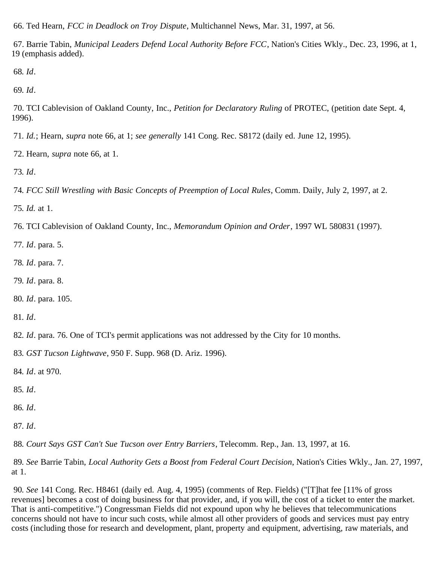<span id="page-23-0"></span>66. Ted Hearn, *FCC in Deadlock on Troy Dispute*, Multichannel News, Mar. 31, 1997, at 56.

<span id="page-23-1"></span> 67. Barrie Tabin, *Municipal Leaders Defend Local Authority Before FCC*, Nation's Cities Wkly., Dec. 23, 1996, at 1, 19 (emphasis added).

<span id="page-23-2"></span>*. Id*.

<span id="page-23-3"></span>*. Id*.

<span id="page-23-4"></span> 70. TCI Cablevision of Oakland County, Inc., *Petition for Declaratory Ruling* of PROTEC, (petition date Sept. 4, 1996).

<span id="page-23-5"></span>*. Id.*; Hearn, *supra* note 66, at 1; *see generally* 141 Cong. Rec. S8172 (daily ed. June 12, 1995).

<span id="page-23-6"></span>72. Hearn, *supra* note 66, at 1.

<span id="page-23-7"></span>*. Id*.

<span id="page-23-8"></span>*. FCC Still Wrestling with Basic Concepts of Preemption of Local Rules*, Comm. Daily, July 2, 1997, at 2.

<span id="page-23-9"></span>*. Id.* at 1.

<span id="page-23-10"></span>76. TCI Cablevision of Oakland County, Inc., *Memorandum Opinion and Order*, 1997 WL 580831 (1997).

<span id="page-23-11"></span>*. Id*. para. 5.

- <span id="page-23-12"></span>*. Id*. para. 7.
- <span id="page-23-13"></span>*. Id*. para. 8.
- <span id="page-23-14"></span>*. Id*. para. 105.

<span id="page-23-15"></span>*. Id*.

<span id="page-23-16"></span>*. Id*. para. 76. One of TCI's permit applications was not addressed by the City for 10 months.

<span id="page-23-17"></span>*. GST Tucson Lightwave*, 950 F. Supp. 968 (D. Ariz. 1996).

<span id="page-23-18"></span>*. Id*. at 970.

<span id="page-23-19"></span>*. Id*.

<span id="page-23-20"></span>*. Id*.

<span id="page-23-21"></span>*. Id*.

<span id="page-23-22"></span>*. Court Says GST Can't Sue Tucson over Entry Barriers*, Telecomm. Rep., Jan. 13, 1997, at 16.

<span id="page-23-23"></span>*. See* Barrie Tabin, *Local Authority Gets a Boost from Federal Court Decision*, Nation's Cities Wkly., Jan. 27, 1997, at 1.

<span id="page-23-24"></span>*. See* 141 Cong. Rec. H8461 (daily ed. Aug. 4, 1995) (comments of Rep. Fields) ("[T]hat fee [11% of gross revenues] becomes a cost of doing business for that provider, and, if you will, the cost of a ticket to enter the market. That is anti-competitive.") Congressman Fields did not expound upon why he believes that telecommunications concerns should not have to incur such costs, while almost all other providers of goods and services must pay entry costs (including those for research and development, plant, property and equipment, advertising, raw materials, and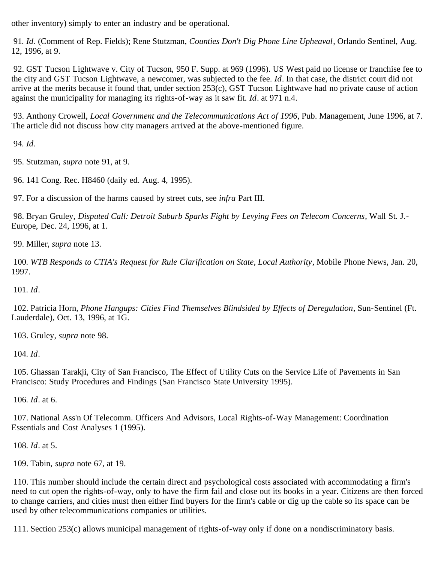other inventory) simply to enter an industry and be operational.

<span id="page-24-0"></span>91*. Id*. (Comment of Rep. Fields); Rene Stutzman, *Counties Don't Dig Phone Line Upheaval*, Orlando Sentinel, Aug. 12, 1996, at 9.

<span id="page-24-1"></span> 92. GST Tucson Lightwave v. City of Tucson, 950 F. Supp. at 969 (1996). US West paid no license or franchise fee to the city and GST Tucson Lightwave, a newcomer, was subjected to the fee. *Id*. In that case, the district court did not arrive at the merits because it found that, under section  $253(c)$ , GST Tucson Lightwave had no private cause of action against the municipality for managing its rights-of-way as it saw fit. *Id*. at 971 n.4.

 93. Anthony Crowell, *Local Government and the Telecommunications Act of 1996*, Pub. Management, June 1996, at 7. The article did not discuss how city managers arrived at the above-mentioned figure.

<span id="page-24-2"></span>94*. Id*.

<span id="page-24-3"></span>95. Stutzman, *supra* note 91, at 9.

<span id="page-24-4"></span>96. 141 Cong. Rec. H8460 (daily ed. Aug. 4, 1995).

<span id="page-24-5"></span>97. For a discussion of the harms caused by street cuts, see *infra* Part III.

<span id="page-24-6"></span> 98. Bryan Gruley, *Disputed Call: Detroit Suburb Sparks Fight by Levying Fees on Telecom Concerns*, Wall St. J.- Europe, Dec. 24, 1996, at 1.

<span id="page-24-7"></span>99. Miller, *supra* note 13.

<span id="page-24-8"></span>100*. WTB Responds to CTIA's Request for Rule Clarification on State, Local Authority*, Mobile Phone News, Jan. 20, 1997.

<span id="page-24-9"></span>101*. Id*.

<span id="page-24-10"></span> 102. Patricia Horn, *Phone Hangups: Cities Find Themselves Blindsided by Effects of Deregulation*, Sun-Sentinel (Ft. Lauderdale), Oct. 13, 1996, at 1G.

<span id="page-24-11"></span>103. Gruley, *supra* note 98.

<span id="page-24-12"></span>104*. Id*.

<span id="page-24-13"></span> 105. Ghassan Tarakji, City of San Francisco, The Effect of Utility Cuts on the Service Life of Pavements in San Francisco: Study Procedures and Findings (San Francisco State University 1995).

<span id="page-24-14"></span>106*. Id*. at 6.

<span id="page-24-15"></span> 107. National Ass'n Of Telecomm. Officers And Advisors, Local Rights-of-Way Management: Coordination Essentials and Cost Analyses 1 (1995).

<span id="page-24-16"></span>108*. Id*. at 5.

<span id="page-24-17"></span>109. Tabin, *supra* note 67, at 19.

<span id="page-24-18"></span> 110. This number should include the certain direct and psychological costs associated with accommodating a firm's need to cut open the rights-of-way, only to have the firm fail and close out its books in a year. Citizens are then forced to change carriers, and cities must then either find buyers for the firm's cable or dig up the cable so its space can be used by other telecommunications companies or utilities.

<span id="page-24-19"></span>111. Section 253(c) allows municipal management of rights-of-way only if done on a nondiscriminatory basis.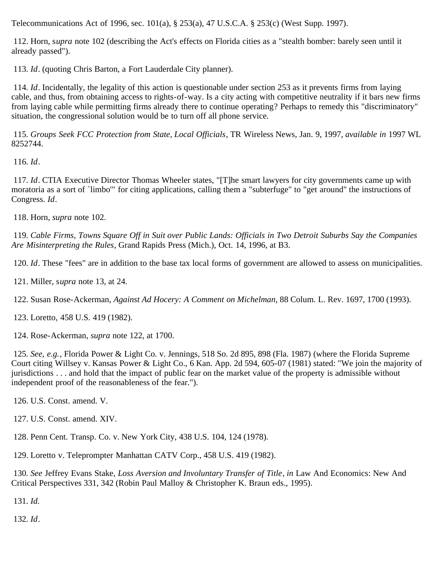Telecommunications Act of 1996, sec. 101(a), § 253(a), 47 U.S.C.A. § 253(c) (West Supp. 1997).

<span id="page-25-0"></span> 112. Horn, s*upra* note 102 (describing the Act's effects on Florida cities as a "stealth bomber: barely seen until it already passed").

<span id="page-25-1"></span>113*. Id*. (quoting Chris Barton, a Fort Lauderdale City planner).

<span id="page-25-2"></span>114*. Id*. Incidentally, the legality of this action is questionable under section 253 as it prevents firms from laying cable, and thus, from obtaining access to rights-of-way. Is a city acting with competitive neutrality if it bars new firms from laying cable while permitting firms already there to continue operating? Perhaps to remedy this "discriminatory" situation, the congressional solution would be to turn off all phone service.

<span id="page-25-3"></span>115*. Groups Seek FCC Protection from State, Local Officials*, TR Wireless News, Jan. 9, 1997, *available in* 1997 WL 8252744.

<span id="page-25-4"></span>116*. Id*.

<span id="page-25-5"></span>117*. Id*. CTIA Executive Director Thomas Wheeler states, "[T]he smart lawyers for city governments came up with moratoria as a sort of `limbo'" for citing applications, calling them a "subterfuge" to "get around" the instructions of Congress. *Id*.

<span id="page-25-6"></span>118. Horn, *supra* note 102.

<span id="page-25-7"></span>119*. Cable Firms, Towns Square Off in Suit over Public Lands: Officials in Two Detroit Suburbs Say the Companies Are Misinterpreting the Rules*, Grand Rapids Press (Mich.), Oct. 14, 1996, at B3.

<span id="page-25-8"></span>120*. Id*. These "fees" are in addition to the base tax local forms of government are allowed to assess on municipalities.

<span id="page-25-9"></span>121. Miller, s*upra* note 13, at 24.

<span id="page-25-10"></span>122. Susan Rose-Ackerman, *Against Ad Hocery: A Comment on Michelman*, 88 Colum. L. Rev. 1697, 1700 (1993).

<span id="page-25-11"></span>123. Loretto, 458 U.S. 419 (1982).

<span id="page-25-12"></span>124. Rose-Ackerman, *supra* note 122, at 1700.

<span id="page-25-13"></span>125*. See, e.g.*, Florida Power & Light Co. v. Jennings, 518 So. 2d 895, 898 (Fla. 1987) (where the Florida Supreme Court citing Willsey v. Kansas Power & Light Co., 6 Kan. App. 2d 594, 605-07 (1981) stated: "We join the majority of jurisdictions . . . and hold that the impact of public fear on the market value of the property is admissible without independent proof of the reasonableness of the fear.").

<span id="page-25-14"></span>126. U.S. Const. amend. V.

<span id="page-25-15"></span>127. U.S. Const. amend. XIV.

<span id="page-25-16"></span>128. Penn Cent. Transp. Co. v. New York City, 438 U.S. 104, 124 (1978).

<span id="page-25-17"></span>129. Loretto v. Teleprompter Manhattan CATV Corp., 458 U.S. 419 (1982).

<span id="page-25-18"></span>130*. See* Jeffrey Evans Stake, *Loss Aversion and Involuntary Transfer of Title*, *in* Law And Economics: New And Critical Perspectives 331, 342 (Robin Paul Malloy & Christopher K. Braun eds., 1995).

<span id="page-25-19"></span>131*. Id.*

<span id="page-25-20"></span>132*. Id*.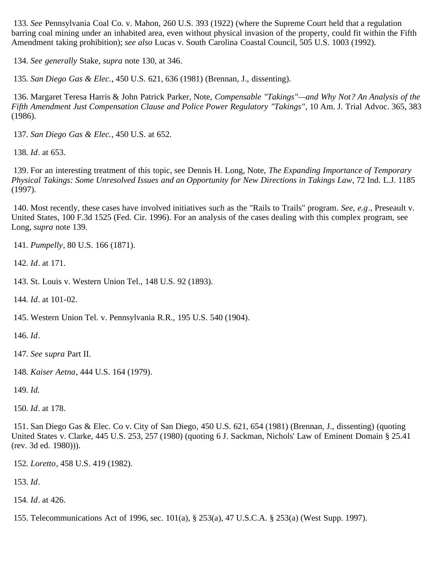<span id="page-26-0"></span>133*. See* Pennsylvania Coal Co. v. Mahon, 260 U.S. 393 (1922) (where the Supreme Court held that a regulation barring coal mining under an inhabited area, even without physical invasion of the property, could fit within the Fifth Amendment taking prohibition); *see also* Lucas v. South Carolina Coastal Council, 505 U.S. 1003 (1992).

<span id="page-26-1"></span>134*. See generally* Stake, *supra* note 130, at 346.

<span id="page-26-2"></span>135*. San Diego Gas & Elec.*, 450 U.S. 621, 636 (1981) (Brennan, J., dissenting).

<span id="page-26-3"></span> 136. Margaret Teresa Harris & John Patrick Parker, Note, *Compensable "Takings"—and Why Not? An Analysis of the Fifth Amendment Just Compensation Clause and Police Power Regulatory "Takings"*, 10 Am. J. Trial Advoc. 365, 383 (1986).

<span id="page-26-4"></span>137*. San Diego Gas & Elec.*, 450 U.S. at 652.

<span id="page-26-5"></span>138*. Id*. at 653.

<span id="page-26-6"></span> 139. For an interesting treatment of this topic, see Dennis H. Long, Note, *The Expanding Importance of Temporary Physical Takings: Some Unresolved Issues and an Opportunity for New Directions in Takings Law*, 72 Ind. L.J. 1185 (1997).

<span id="page-26-7"></span> 140. Most recently, these cases have involved initiatives such as the "Rails to Trails" program*. See, e.g*., Preseault v. United States, 100 F.3d 1525 (Fed. Cir. 1996). For an analysis of the cases dealing with this complex program, see Long, *supra* note 139.

<span id="page-26-8"></span>141*. Pumpelly*, 80 U.S. 166 (1871).

<span id="page-26-9"></span>142*. Id*. at 171.

<span id="page-26-10"></span>143. St. Louis v. Western Union Tel., 148 U.S. 92 (1893).

<span id="page-26-11"></span>144*. Id*. at 101-02.

<span id="page-26-12"></span>145. Western Union Tel. v. Pennsylvania R.R., 195 U.S. 540 (1904).

<span id="page-26-13"></span>146*. Id*.

<span id="page-26-14"></span>147*. See* s*upra* Part II.

<span id="page-26-15"></span>148*. Kaiser Aetna*, 444 U.S. 164 (1979).

<span id="page-26-16"></span>149*. Id.*

<span id="page-26-17"></span>150*. Id*. at 178.

<span id="page-26-18"></span> 151. San Diego Gas & Elec. Co v. City of San Diego, 450 U.S. 621, 654 (1981) (Brennan, J., dissenting) (quoting United States v. Clarke, 445 U.S. 253, 257 (1980) (quoting 6 J. Sackman, Nichols' Law of Eminent Domain § 25.41 (rev. 3d ed. 1980))).

<span id="page-26-19"></span>152*. Loretto*, 458 U.S. 419 (1982).

<span id="page-26-20"></span>153*. Id*.

<span id="page-26-21"></span>154*. Id*. at 426.

<span id="page-26-22"></span>155. Telecommunications Act of 1996, sec. 101(a), § 253(a), 47 U.S.C.A. § 253(a) (West Supp. 1997).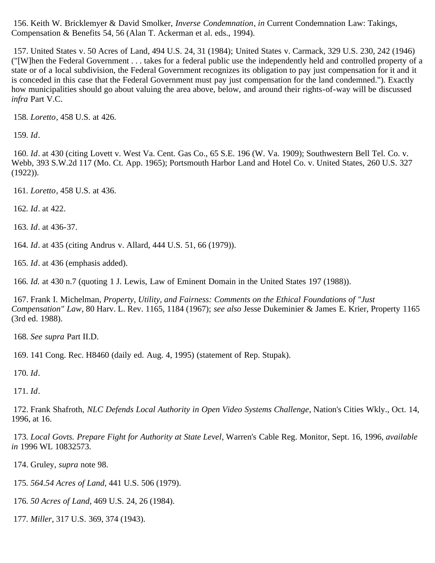<span id="page-27-0"></span> 156. Keith W. Bricklemyer & David Smolker, *Inverse Condemnation*, *in* Current Condemnation Law: Takings, Compensation & Benefits 54, 56 (Alan T. Ackerman et al. eds., 1994).

<span id="page-27-1"></span> 157. United States v. 50 Acres of Land, 494 U.S. 24, 31 (1984); United States v. Carmack, 329 U.S. 230, 242 (1946) ("[W]hen the Federal Government . . . takes for a federal public use the independently held and controlled property of a state or of a local subdivision, the Federal Government recognizes its obligation to pay just compensation for it and it is conceded in this case that the Federal Government must pay just compensation for the land condemned."). Exactly how municipalities should go about valuing the area above, below, and around their rights-of-way will be discussed *infra* Part V.C.

<span id="page-27-2"></span>158*. Loretto*, 458 U.S. at 426.

<span id="page-27-3"></span>159*. Id*.

<span id="page-27-4"></span>160*. Id*. at 430 (citing Lovett v. West Va. Cent. Gas Co., 65 S.E. 196 (W. Va. 1909); Southwestern Bell Tel. Co. v. Webb, 393 S.W.2d 117 (Mo. Ct. App. 1965); Portsmouth Harbor Land and Hotel Co. v. United States, 260 U.S. 327  $(1922)$ ).

161*. Loretto*, 458 U.S. at 436.

<span id="page-27-5"></span>162*. Id*. at 422.

<span id="page-27-6"></span>163*. Id*. at 436-37.

<span id="page-27-7"></span>164*. Id*. at 435 (citing Andrus v. Allard, 444 U.S. 51, 66 (1979)).

<span id="page-27-8"></span>165*. Id*. at 436 (emphasis added).

<span id="page-27-9"></span>166*. Id.* at 430 n.7 (quoting 1 J. Lewis, Law of Eminent Domain in the United States 197 (1988)).

<span id="page-27-10"></span> 167. Frank I. Michelman, *Property, Utility, and Fairness: Comments on the Ethical Foundations of "Just Compensation" Law*, 80 Harv. L. Rev. 1165, 1184 (1967); *see also* Jesse Dukeminier & James E. Krier, Property 1165 (3rd ed. 1988).

<span id="page-27-11"></span>168*. See supra* Part II.D.

<span id="page-27-12"></span>169. 141 Cong. Rec. H8460 (daily ed. Aug. 4, 1995) (statement of Rep. Stupak).

<span id="page-27-13"></span>170*. Id*.

<span id="page-27-14"></span>171*. Id*.

<span id="page-27-15"></span> 172. Frank Shafroth, *NLC Defends Local Authority in Open Video Systems Challenge*, Nation's Cities Wkly., Oct. 14, 1996, at 16.

<span id="page-27-16"></span>173*. Local Govts. Prepare Fight for Authority at State Level*, Warren's Cable Reg. Monitor, Sept. 16, 1996, *available in* 1996 WL 10832573.

<span id="page-27-17"></span>174. Gruley, *supra* note 98.

175*. 564.54 Acres of Land*, 441 U.S. 506 (1979).

- <span id="page-27-18"></span>176*. 50 Acres of Land*, 469 U.S. 24, 26 (1984).
- <span id="page-27-19"></span>177*. Miller*, 317 U.S. 369, 374 (1943).